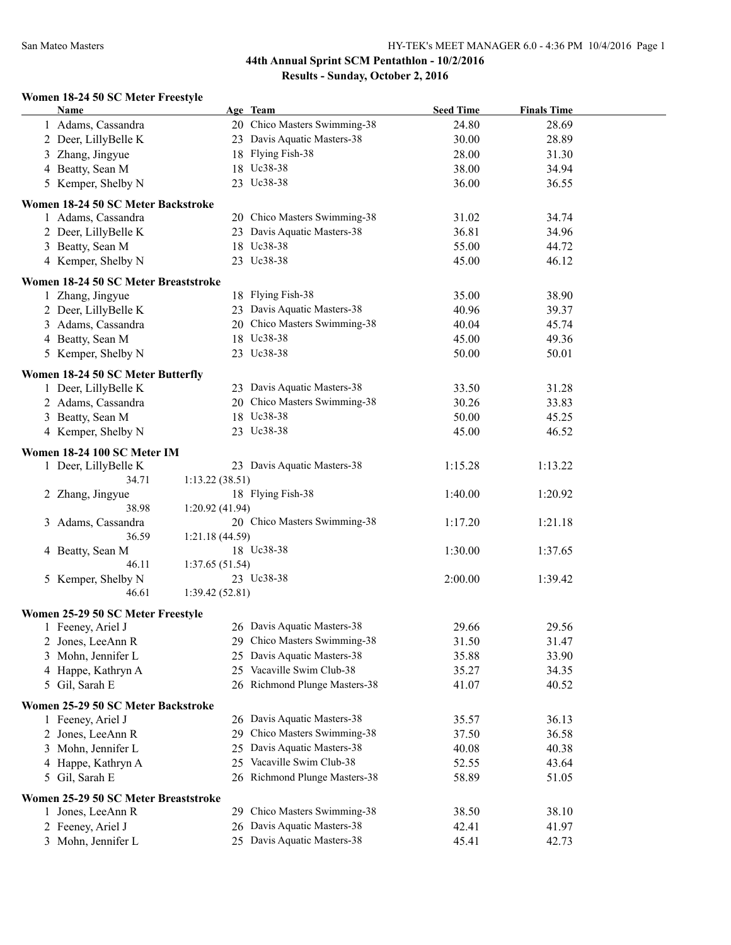#### **Women 18-24 50 SC Meter Freestyle**

| <b>Name</b>                          | Age Team                         | <b>Seed Time</b> | <b>Finals Time</b> |  |
|--------------------------------------|----------------------------------|------------------|--------------------|--|
| 1 Adams, Cassandra                   | 20 Chico Masters Swimming-38     | 24.80            | 28.69              |  |
| 2 Deer, LillyBelle K                 | 23 Davis Aquatic Masters-38      | 30.00            | 28.89              |  |
| 3 Zhang, Jingyue                     | 18 Flying Fish-38                | 28.00            | 31.30              |  |
| 4 Beatty, Sean M                     | 18 Uc38-38                       | 38.00            | 34.94              |  |
| 5 Kemper, Shelby N                   | 23 Uc38-38                       | 36.00            | 36.55              |  |
|                                      |                                  |                  |                    |  |
| Women 18-24 50 SC Meter Backstroke   |                                  |                  |                    |  |
| 1 Adams, Cassandra                   | 20 Chico Masters Swimming-38     | 31.02            | 34.74              |  |
| 2 Deer, LillyBelle K                 | 23 Davis Aquatic Masters-38      | 36.81            | 34.96              |  |
| 3 Beatty, Sean M                     | 18 Uc38-38                       | 55.00            | 44.72              |  |
| 4 Kemper, Shelby N                   | 23 Uc38-38                       | 45.00            | 46.12              |  |
| Women 18-24 50 SC Meter Breaststroke |                                  |                  |                    |  |
| 1 Zhang, Jingyue                     | 18 Flying Fish-38                | 35.00            | 38.90              |  |
| 2 Deer, LillyBelle K                 | 23 Davis Aquatic Masters-38      | 40.96            | 39.37              |  |
| 3 Adams, Cassandra                   | 20 Chico Masters Swimming-38     | 40.04            | 45.74              |  |
| 4 Beatty, Sean M                     | 18 Uc38-38                       | 45.00            | 49.36              |  |
| 5 Kemper, Shelby N                   | 23 Uc38-38                       | 50.00            | 50.01              |  |
|                                      |                                  |                  |                    |  |
| Women 18-24 50 SC Meter Butterfly    |                                  |                  |                    |  |
| 1 Deer, LillyBelle K                 | 23 Davis Aquatic Masters-38      | 33.50            | 31.28              |  |
| 2 Adams, Cassandra                   | 20 Chico Masters Swimming-38     | 30.26            | 33.83              |  |
| 3 Beatty, Sean M                     | 18 Uc38-38                       | 50.00            | 45.25              |  |
| 4 Kemper, Shelby N                   | 23 Uc38-38                       | 45.00            | 46.52              |  |
| Women 18-24 100 SC Meter IM          |                                  |                  |                    |  |
| 1 Deer, LillyBelle K                 | 23 Davis Aquatic Masters-38      | 1:15.28          | 1:13.22            |  |
| 34.71                                | 1:13.22(38.51)                   |                  |                    |  |
| 2 Zhang, Jingyue                     | 18 Flying Fish-38                | 1:40.00          | 1:20.92            |  |
| 38.98                                | 1:20.92(41.94)                   |                  |                    |  |
| 3 Adams, Cassandra                   | 20 Chico Masters Swimming-38     | 1:17.20          | 1:21.18            |  |
| 36.59                                | 1:21.18(44.59)                   |                  |                    |  |
| 4 Beatty, Sean M                     | 18 Uc38-38                       | 1:30.00          | 1:37.65            |  |
| 46.11                                | 1:37.65(51.54)                   |                  |                    |  |
| 5 Kemper, Shelby N                   | 23 Uc38-38                       | 2:00.00          | 1:39.42            |  |
| 46.61                                | 1:39.42(52.81)                   |                  |                    |  |
|                                      |                                  |                  |                    |  |
| Women 25-29 50 SC Meter Freestyle    |                                  |                  |                    |  |
| 1 Feeney, Ariel J                    | 26 Davis Aquatic Masters-38      | 29.66            | 29.56              |  |
| 2 Jones, LeeAnn R                    | 29 Chico Masters Swimming-38     | 31.50            | 31.47              |  |
| 3 Mohn, Jennifer L                   | 25 Davis Aquatic Masters-38      | 35.88            | 33.90              |  |
| 4 Happe, Kathryn A                   | 25 Vacaville Swim Club-38        | 35.27            | 34.35              |  |
| 5 Gil, Sarah E                       | 26 Richmond Plunge Masters-38    | 41.07            | 40.52              |  |
| Women 25-29 50 SC Meter Backstroke   |                                  |                  |                    |  |
| 1 Feeney, Ariel J                    | Davis Aquatic Masters-38<br>26   | 35.57            | 36.13              |  |
| 2 Jones, LeeAnn R                    | Chico Masters Swimming-38<br>29. | 37.50            | 36.58              |  |
| 3 Mohn, Jennifer L                   | Davis Aquatic Masters-38<br>25   | 40.08            | 40.38              |  |
| 4 Happe, Kathryn A                   | Vacaville Swim Club-38<br>25     | 52.55            | 43.64              |  |
| 5 Gil, Sarah E                       | 26 Richmond Plunge Masters-38    | 58.89            | 51.05              |  |
|                                      |                                  |                  |                    |  |
| Women 25-29 50 SC Meter Breaststroke |                                  |                  |                    |  |
| 1 Jones, LeeAnn R                    | Chico Masters Swimming-38<br>29. | 38.50            | 38.10              |  |
| 2 Feeney, Ariel J                    | Davis Aquatic Masters-38<br>26   | 42.41            | 41.97              |  |
| 3 Mohn, Jennifer L                   | 25 Davis Aquatic Masters-38      | 45.41            | 42.73              |  |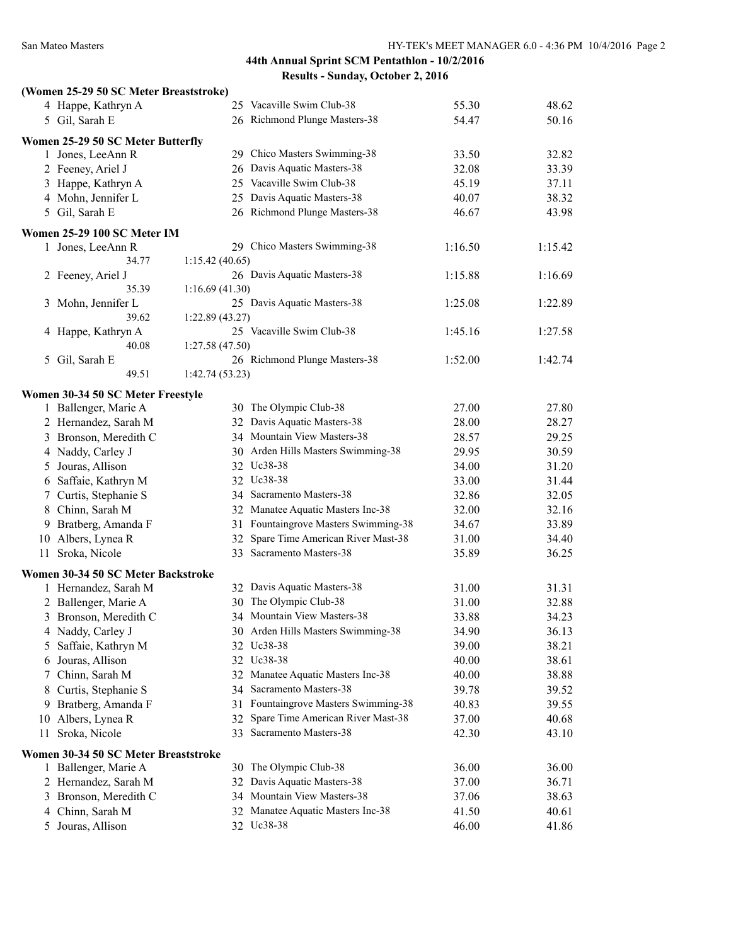| (Women 25-29 50 SC Meter Breaststroke) |                |                                      |         |         |
|----------------------------------------|----------------|--------------------------------------|---------|---------|
| 4 Happe, Kathryn A                     |                | 25 Vacaville Swim Club-38            | 55.30   | 48.62   |
| 5 Gil, Sarah E                         |                | 26 Richmond Plunge Masters-38        | 54.47   | 50.16   |
| Women 25-29 50 SC Meter Butterfly      |                |                                      |         |         |
| 1 Jones, LeeAnn R                      |                | 29 Chico Masters Swimming-38         | 33.50   | 32.82   |
| 2 Feeney, Ariel J                      |                | 26 Davis Aquatic Masters-38          | 32.08   | 33.39   |
| 3 Happe, Kathryn A                     |                | 25 Vacaville Swim Club-38            | 45.19   | 37.11   |
| 4 Mohn, Jennifer L                     |                | 25 Davis Aquatic Masters-38          | 40.07   | 38.32   |
| 5 Gil, Sarah E                         |                | 26 Richmond Plunge Masters-38        | 46.67   | 43.98   |
|                                        |                |                                      |         |         |
| Women 25-29 100 SC Meter IM            |                |                                      |         |         |
| 1 Jones, LeeAnn R                      |                | 29 Chico Masters Swimming-38         | 1:16.50 | 1:15.42 |
| 34.77                                  | 1:15.42(40.65) |                                      |         |         |
| 2 Feeney, Ariel J                      |                | 26 Davis Aquatic Masters-38          | 1:15.88 | 1:16.69 |
| 35.39                                  | 1:16.69(41.30) |                                      |         |         |
| 3 Mohn, Jennifer L<br>39.62            |                | 25 Davis Aquatic Masters-38          | 1:25.08 | 1:22.89 |
|                                        | 1:22.89(43.27) | 25 Vacaville Swim Club-38            |         |         |
| 4 Happe, Kathryn A<br>40.08            |                |                                      | 1:45.16 | 1:27.58 |
| 5 Gil, Sarah E                         | 1:27.58(47.50) | 26 Richmond Plunge Masters-38        | 1:52.00 | 1:42.74 |
| 49.51                                  | 1:42.74(53.23) |                                      |         |         |
|                                        |                |                                      |         |         |
| Women 30-34 50 SC Meter Freestyle      |                |                                      |         |         |
| 1 Ballenger, Marie A                   |                | 30 The Olympic Club-38               | 27.00   | 27.80   |
| 2 Hernandez, Sarah M                   |                | 32 Davis Aquatic Masters-38          | 28.00   | 28.27   |
| 3 Bronson, Meredith C                  |                | 34 Mountain View Masters-38          | 28.57   | 29.25   |
| 4 Naddy, Carley J                      |                | 30 Arden Hills Masters Swimming-38   | 29.95   | 30.59   |
| 5 Jouras, Allison                      |                | 32 Uc38-38                           | 34.00   | 31.20   |
| 6 Saffaie, Kathryn M                   |                | 32 Uc38-38                           | 33.00   | 31.44   |
| Curtis, Stephanie S<br>7.              |                | 34 Sacramento Masters-38             | 32.86   | 32.05   |
| 8 Chinn, Sarah M                       |                | 32 Manatee Aquatic Masters Inc-38    | 32.00   | 32.16   |
| 9 Bratberg, Amanda F                   |                | 31 Fountaingrove Masters Swimming-38 | 34.67   | 33.89   |
| 10 Albers, Lynea R                     |                | 32 Spare Time American River Mast-38 | 31.00   | 34.40   |
| 11 Sroka, Nicole                       |                | 33 Sacramento Masters-38             | 35.89   | 36.25   |
| Women 30-34 50 SC Meter Backstroke     |                |                                      |         |         |
| 1 Hernandez, Sarah M                   |                | 32 Davis Aquatic Masters-38          | 31.00   | 31.31   |
| 2 Ballenger, Marie A                   |                | 30 The Olympic Club-38               | 31.00   | 32.88   |
| 3 Bronson, Meredith C                  |                | 34 Mountain View Masters-38          | 33.88   | 34.23   |
| 4 Naddy, Carley J                      |                | 30 Arden Hills Masters Swimming-38   | 34.90   | 36.13   |
| Saffaie, Kathryn M<br>5                |                | 32 Uc38-38                           | 39.00   | 38.21   |
| 6 Jouras, Allison                      |                | 32 Uc38-38                           | 40.00   | 38.61   |
| Chinn, Sarah M<br>7                    |                | 32 Manatee Aquatic Masters Inc-38    | 40.00   | 38.88   |
| Curtis, Stephanie S<br>8               |                | 34 Sacramento Masters-38             | 39.78   | 39.52   |
| Bratberg, Amanda F<br>9                |                | 31 Fountaingrove Masters Swimming-38 | 40.83   | 39.55   |
| Albers, Lynea R<br>10                  |                | 32 Spare Time American River Mast-38 | 37.00   | 40.68   |
| 11 Sroka, Nicole                       |                | 33 Sacramento Masters-38             | 42.30   | 43.10   |
|                                        |                |                                      |         |         |
| Women 30-34 50 SC Meter Breaststroke   |                |                                      |         |         |
| 1 Ballenger, Marie A                   |                | 30 The Olympic Club-38               | 36.00   | 36.00   |
| 2 Hernandez, Sarah M                   |                | 32 Davis Aquatic Masters-38          | 37.00   | 36.71   |
| 3 Bronson, Meredith C                  |                | 34 Mountain View Masters-38          | 37.06   | 38.63   |
| 4 Chinn, Sarah M                       |                | 32 Manatee Aquatic Masters Inc-38    | 41.50   | 40.61   |
| 5 Jouras, Allison                      |                | 32 Uc38-38                           | 46.00   | 41.86   |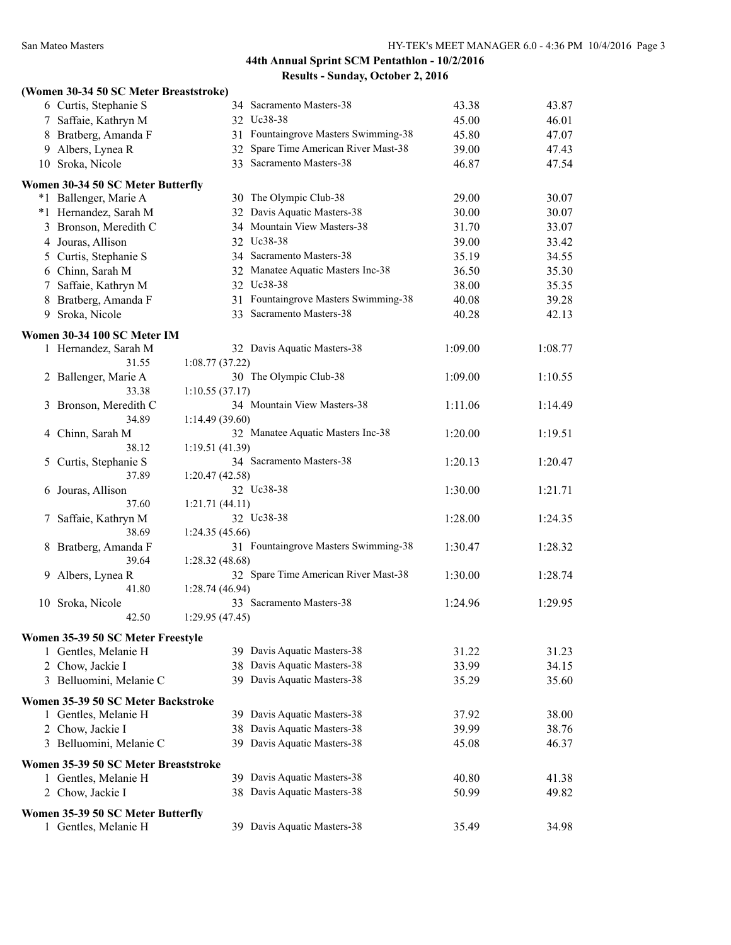|    | (Women 30-34 50 SC Meter Breaststroke)                     |                 |                                      |         |         |
|----|------------------------------------------------------------|-----------------|--------------------------------------|---------|---------|
|    | 6 Curtis, Stephanie S                                      |                 | 34 Sacramento Masters-38             | 43.38   | 43.87   |
|    | 7 Saffaie, Kathryn M                                       |                 | 32 Uc38-38                           | 45.00   | 46.01   |
|    | 8 Bratberg, Amanda F                                       |                 | 31 Fountaingrove Masters Swimming-38 | 45.80   | 47.07   |
|    | 9 Albers, Lynea R                                          |                 | 32 Spare Time American River Mast-38 | 39.00   | 47.43   |
|    | 10 Sroka, Nicole                                           |                 | 33 Sacramento Masters-38             | 46.87   | 47.54   |
|    | Women 30-34 50 SC Meter Butterfly                          |                 |                                      |         |         |
|    | *1 Ballenger, Marie A                                      |                 | 30 The Olympic Club-38               | 29.00   | 30.07   |
|    | *1 Hernandez, Sarah M                                      |                 | 32 Davis Aquatic Masters-38          | 30.00   | 30.07   |
|    | 3 Bronson, Meredith C                                      |                 | 34 Mountain View Masters-38          | 31.70   | 33.07   |
|    | 4 Jouras, Allison                                          |                 | 32 Uc38-38                           | 39.00   | 33.42   |
|    | 5 Curtis, Stephanie S                                      |                 | 34 Sacramento Masters-38             | 35.19   | 34.55   |
|    | 6 Chinn, Sarah M                                           |                 | 32 Manatee Aquatic Masters Inc-38    | 36.50   | 35.30   |
|    | 7 Saffaie, Kathryn M                                       |                 | 32 Uc38-38                           | 38.00   | 35.35   |
|    | 8 Bratberg, Amanda F                                       |                 | 31 Fountaingrove Masters Swimming-38 | 40.08   | 39.28   |
| 9  | Sroka, Nicole                                              |                 | 33 Sacramento Masters-38             | 40.28   | 42.13   |
|    | Women 30-34 100 SC Meter IM                                |                 |                                      |         |         |
|    | 1 Hernandez, Sarah M                                       |                 | 32 Davis Aquatic Masters-38          | 1:09.00 | 1:08.77 |
|    | 31.55                                                      | 1:08.77(37.22)  |                                      |         |         |
|    | 2 Ballenger, Marie A                                       |                 | 30 The Olympic Club-38               | 1:09.00 | 1:10.55 |
|    | 33.38                                                      | 1:10.55(37.17)  |                                      |         |         |
| 3  | Bronson, Meredith C                                        |                 | 34 Mountain View Masters-38          | 1:11.06 | 1:14.49 |
|    | 34.89                                                      | 1:14.49(39.60)  |                                      |         |         |
| 4  | Chinn, Sarah M                                             |                 | 32 Manatee Aquatic Masters Inc-38    | 1:20.00 | 1:19.51 |
|    | 38.12                                                      | 1:19.51(41.39)  |                                      |         |         |
| 5. | Curtis, Stephanie S                                        |                 | 34 Sacramento Masters-38             | 1:20.13 | 1:20.47 |
|    | 37.89                                                      | 1:20.47(42.58)  |                                      |         |         |
|    | 6 Jouras, Allison<br>37.60                                 | 1:21.71(44.11)  | 32 Uc38-38                           | 1:30.00 | 1:21.71 |
| 7. | Saffaie, Kathryn M                                         |                 | 32 Uc38-38                           | 1:28.00 | 1:24.35 |
|    | 38.69                                                      | 1:24.35(45.66)  |                                      |         |         |
|    | 8 Bratberg, Amanda F                                       |                 | 31 Fountaingrove Masters Swimming-38 | 1:30.47 | 1:28.32 |
|    | 39.64                                                      | 1:28.32(48.68)  |                                      |         |         |
| 9  | Albers, Lynea R                                            |                 | 32 Spare Time American River Mast-38 | 1:30.00 | 1:28.74 |
|    | 41.80                                                      | 1:28.74(46.94)  |                                      |         |         |
|    | 10 Sroka, Nicole                                           |                 | 33 Sacramento Masters-38             | 1:24.96 | 1:29.95 |
|    | 42.50                                                      | 1:29.95 (47.45) |                                      |         |         |
|    | Women 35-39 50 SC Meter Freestyle                          |                 |                                      |         |         |
|    | 1 Gentles, Melanie H                                       |                 | 39 Davis Aquatic Masters-38          | 31.22   | 31.23   |
|    | 2 Chow, Jackie I                                           |                 | 38 Davis Aquatic Masters-38          | 33.99   | 34.15   |
|    | 3 Belluomini, Melanie C                                    |                 | 39 Davis Aquatic Masters-38          | 35.29   | 35.60   |
|    |                                                            |                 |                                      |         |         |
|    | Women 35-39 50 SC Meter Backstroke<br>1 Gentles, Melanie H |                 | 39 Davis Aquatic Masters-38          | 37.92   | 38.00   |
|    | 2 Chow, Jackie I                                           |                 | 38 Davis Aquatic Masters-38          | 39.99   | 38.76   |
|    | 3 Belluomini, Melanie C                                    |                 | 39 Davis Aquatic Masters-38          | 45.08   | 46.37   |
|    |                                                            |                 |                                      |         |         |
|    | Women 35-39 50 SC Meter Breaststroke                       |                 |                                      |         |         |
|    | 1 Gentles, Melanie H                                       |                 | 39 Davis Aquatic Masters-38          | 40.80   | 41.38   |
|    | 2 Chow, Jackie I                                           |                 | 38 Davis Aquatic Masters-38          | 50.99   | 49.82   |
|    | Women 35-39 50 SC Meter Butterfly                          |                 |                                      |         |         |
|    | 1 Gentles, Melanie H                                       |                 | 39 Davis Aquatic Masters-38          | 35.49   | 34.98   |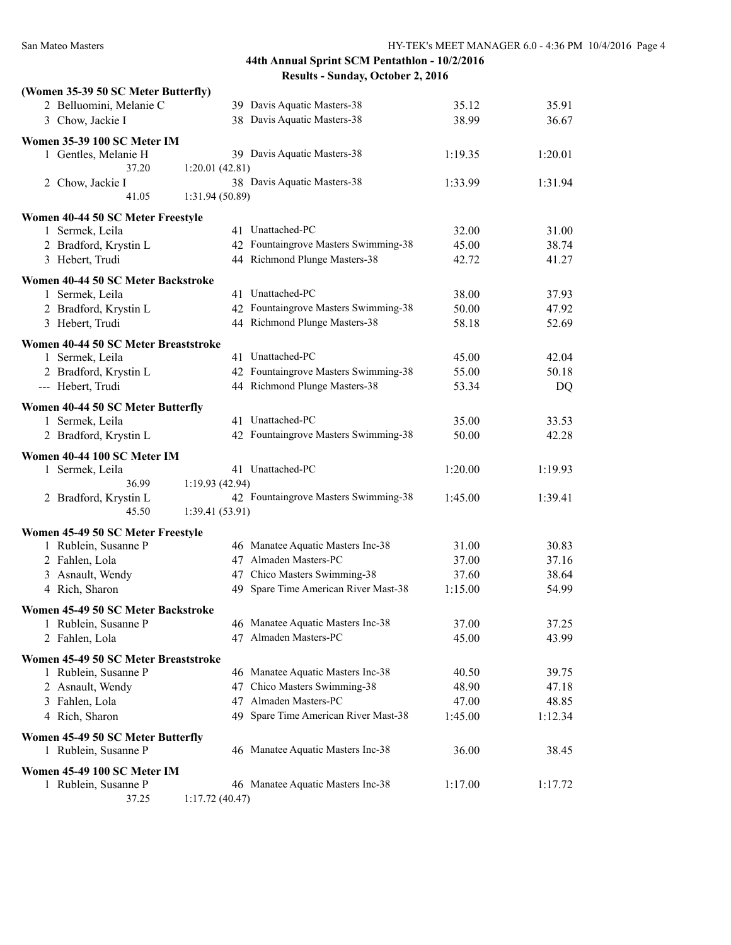| (Women 35-39 50 SC Meter Butterfly)                 |                 |                                                               |         |         |
|-----------------------------------------------------|-----------------|---------------------------------------------------------------|---------|---------|
| 2 Belluomini, Melanie C                             |                 | 39 Davis Aquatic Masters-38                                   | 35.12   | 35.91   |
| 3 Chow, Jackie I                                    |                 | 38 Davis Aquatic Masters-38                                   | 38.99   | 36.67   |
| Women 35-39 100 SC Meter IM                         |                 |                                                               |         |         |
| 1 Gentles, Melanie H                                |                 | 39 Davis Aquatic Masters-38                                   | 1:19.35 | 1:20.01 |
| 37.20                                               | 1:20.01(42.81)  |                                                               |         |         |
| 2 Chow, Jackie I                                    |                 | 38 Davis Aquatic Masters-38                                   | 1:33.99 | 1:31.94 |
| 41.05                                               | 1:31.94 (50.89) |                                                               |         |         |
| Women 40-44 50 SC Meter Freestyle                   |                 |                                                               |         |         |
| 1 Sermek, Leila                                     |                 | 41 Unattached-PC                                              | 32.00   | 31.00   |
| 2 Bradford, Krystin L                               |                 | 42 Fountaingrove Masters Swimming-38                          | 45.00   | 38.74   |
| 3 Hebert, Trudi                                     |                 | 44 Richmond Plunge Masters-38                                 | 42.72   | 41.27   |
|                                                     |                 |                                                               |         |         |
| Women 40-44 50 SC Meter Backstroke                  |                 |                                                               |         |         |
| 1 Sermek, Leila                                     |                 | 41 Unattached-PC                                              | 38.00   | 37.93   |
| 2 Bradford, Krystin L                               |                 | 42 Fountaingrove Masters Swimming-38                          | 50.00   | 47.92   |
| 3 Hebert, Trudi                                     |                 | 44 Richmond Plunge Masters-38                                 | 58.18   | 52.69   |
| Women 40-44 50 SC Meter Breaststroke                |                 |                                                               |         |         |
| 1 Sermek, Leila                                     |                 | 41 Unattached-PC                                              | 45.00   | 42.04   |
| 2 Bradford, Krystin L                               |                 | 42 Fountaingrove Masters Swimming-38                          | 55.00   | 50.18   |
| --- Hebert, Trudi                                   |                 | 44 Richmond Plunge Masters-38                                 | 53.34   | DQ      |
| Women 40-44 50 SC Meter Butterfly                   |                 |                                                               |         |         |
| 1 Sermek, Leila                                     |                 | 41 Unattached-PC                                              | 35.00   | 33.53   |
| 2 Bradford, Krystin L                               |                 | 42 Fountaingrove Masters Swimming-38                          | 50.00   | 42.28   |
|                                                     |                 |                                                               |         |         |
| Women 40-44 100 SC Meter IM                         |                 |                                                               |         |         |
| 1 Sermek, Leila                                     |                 | 41 Unattached-PC                                              | 1:20.00 | 1:19.93 |
| 36.99                                               | 1:19.93(42.94)  |                                                               |         |         |
| 2 Bradford, Krystin L                               |                 | 42 Fountaingrove Masters Swimming-38                          | 1:45.00 | 1:39.41 |
| 45.50                                               | 1:39.41(53.91)  |                                                               |         |         |
| Women 45-49 50 SC Meter Freestyle                   |                 |                                                               |         |         |
| 1 Rublein, Susanne P                                |                 | 46 Manatee Aquatic Masters Inc-38                             | 31.00   | 30.83   |
| 2 Fahlen, Lola                                      |                 | 47 Almaden Masters-PC                                         | 37.00   | 37.16   |
| 3 Asnault, Wendy                                    |                 | 47 Chico Masters Swimming-38                                  | 37.60   | 38.64   |
| 4 Rich, Sharon                                      |                 | 49 Spare Time American River Mast-38                          | 1:15.00 | 54.99   |
| Women 45-49 50 SC Meter Backstroke                  |                 |                                                               |         |         |
| 1 Rublein, Susanne P                                |                 | 46 Manatee Aquatic Masters Inc-38                             | 37.00   | 37.25   |
| 2 Fahlen, Lola                                      |                 | 47 Almaden Masters-PC                                         | 45.00   | 43.99   |
|                                                     |                 |                                                               |         |         |
| Women 45-49 50 SC Meter Breaststroke                |                 |                                                               |         |         |
| 1 Rublein, Susanne P                                |                 | 46 Manatee Aquatic Masters Inc-38                             | 40.50   | 39.75   |
| 2 Asnault, Wendy                                    |                 | 47 Chico Masters Swimming-38                                  | 48.90   | 47.18   |
| 3 Fahlen, Lola                                      |                 | 47 Almaden Masters-PC<br>49 Spare Time American River Mast-38 | 47.00   | 48.85   |
| 4 Rich, Sharon                                      |                 |                                                               | 1:45.00 | 1:12.34 |
|                                                     |                 |                                                               |         |         |
| Women 45-49 50 SC Meter Butterfly                   |                 |                                                               |         |         |
| 1 Rublein, Susanne P                                |                 | 46 Manatee Aquatic Masters Inc-38                             | 36.00   | 38.45   |
|                                                     |                 |                                                               |         |         |
| Women 45-49 100 SC Meter IM<br>1 Rublein, Susanne P |                 | 46 Manatee Aquatic Masters Inc-38                             | 1:17.00 | 1:17.72 |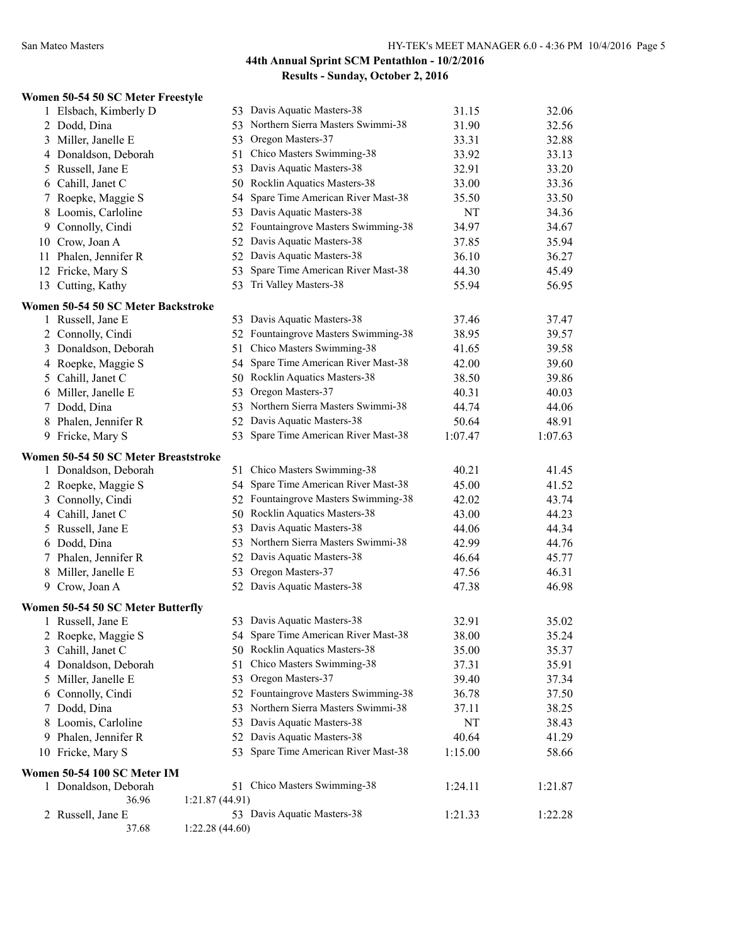#### **Women 50-54 50 SC Meter Freestyle**

|    | 1 Elsbach, Kimberly D                |                | 53 Davis Aquatic Masters-38          | 31.15   | 32.06   |
|----|--------------------------------------|----------------|--------------------------------------|---------|---------|
|    | 2 Dodd, Dina                         |                | 53 Northern Sierra Masters Swimmi-38 | 31.90   | 32.56   |
| 3  | Miller, Janelle E                    |                | 53 Oregon Masters-37                 | 33.31   | 32.88   |
|    | 4 Donaldson, Deborah                 |                | 51 Chico Masters Swimming-38         | 33.92   | 33.13   |
| 5  | Russell, Jane E                      |                | 53 Davis Aquatic Masters-38          | 32.91   | 33.20   |
|    | 6 Cahill, Janet C                    |                | 50 Rocklin Aquatics Masters-38       | 33.00   | 33.36   |
| 7  | Roepke, Maggie S                     | 54             | Spare Time American River Mast-38    | 35.50   | 33.50   |
|    | 8 Loomis, Carloline                  |                | 53 Davis Aquatic Masters-38          | NT      | 34.36   |
|    | 9 Connolly, Cindi                    |                | 52 Fountaingrove Masters Swimming-38 | 34.97   | 34.67   |
|    | 10 Crow, Joan A                      |                | 52 Davis Aquatic Masters-38          | 37.85   | 35.94   |
|    | 11 Phalen, Jennifer R                |                | 52 Davis Aquatic Masters-38          | 36.10   | 36.27   |
|    | 12 Fricke, Mary S                    | 53             | Spare Time American River Mast-38    | 44.30   | 45.49   |
|    | 13 Cutting, Kathy                    |                | 53 Tri Valley Masters-38             | 55.94   | 56.95   |
|    | Women 50-54 50 SC Meter Backstroke   |                |                                      |         |         |
|    | 1 Russell, Jane E                    |                | 53 Davis Aquatic Masters-38          | 37.46   | 37.47   |
|    | 2 Connolly, Cindi                    |                | 52 Fountaingrove Masters Swimming-38 | 38.95   | 39.57   |
|    | 3 Donaldson, Deborah                 |                | 51 Chico Masters Swimming-38         | 41.65   | 39.58   |
|    | 4 Roepke, Maggie S                   | 54             | Spare Time American River Mast-38    | 42.00   | 39.60   |
| 5  | Cahill, Janet C                      |                | 50 Rocklin Aquatics Masters-38       | 38.50   | 39.86   |
|    | 6 Miller, Janelle E                  | 53             | Oregon Masters-37                    | 40.31   | 40.03   |
|    | 7 Dodd, Dina                         |                | 53 Northern Sierra Masters Swimmi-38 | 44.74   | 44.06   |
|    | 8 Phalen, Jennifer R                 |                | 52 Davis Aquatic Masters-38          | 50.64   | 48.91   |
|    | 9 Fricke, Mary S                     |                | 53 Spare Time American River Mast-38 | 1:07.47 | 1:07.63 |
|    | Women 50-54 50 SC Meter Breaststroke |                |                                      |         |         |
|    | 1 Donaldson, Deborah                 |                | 51 Chico Masters Swimming-38         | 40.21   | 41.45   |
|    | 2 Roepke, Maggie S                   |                | 54 Spare Time American River Mast-38 | 45.00   | 41.52   |
|    | 3 Connolly, Cindi                    |                | 52 Fountaingrove Masters Swimming-38 | 42.02   | 43.74   |
|    | 4 Cahill, Janet C                    |                | 50 Rocklin Aquatics Masters-38       | 43.00   | 44.23   |
|    | 5 Russell, Jane E                    |                | 53 Davis Aquatic Masters-38          | 44.06   | 44.34   |
|    | 6 Dodd, Dina                         |                | 53 Northern Sierra Masters Swimmi-38 | 42.99   | 44.76   |
|    | 7 Phalen, Jennifer R                 |                | 52 Davis Aquatic Masters-38          | 46.64   | 45.77   |
| 8  | Miller, Janelle E                    |                | 53 Oregon Masters-37                 | 47.56   | 46.31   |
|    | 9 Crow, Joan A                       |                | 52 Davis Aquatic Masters-38          | 47.38   | 46.98   |
|    | Women 50-54 50 SC Meter Butterfly    |                |                                      |         |         |
|    | 1 Russell, Jane E                    |                | 53 Davis Aquatic Masters-38          | 32.91   | 35.02   |
|    | 2 Roepke, Maggie S                   |                | 54 Spare Time American River Mast-38 | 38.00   | 35.24   |
| 3  | Cahill, Janet C                      |                | 50 Rocklin Aquatics Masters-38       | 35.00   | 35.37   |
|    | 4 Donaldson, Deborah                 |                | 51 Chico Masters Swimming-38         | 37.31   | 35.91   |
| 5  | Miller, Janelle E                    |                | 53 Oregon Masters-37                 | 39.40   | 37.34   |
| 6  | Connolly, Cindi                      |                | 52 Fountaingrove Masters Swimming-38 | 36.78   | 37.50   |
| 7  | Dodd, Dina                           |                | 53 Northern Sierra Masters Swimmi-38 | 37.11   | 38.25   |
| 8  | Loomis, Carloline                    |                | 53 Davis Aquatic Masters-38          | NT      | 38.43   |
| 9. | Phalen, Jennifer R                   |                | 52 Davis Aquatic Masters-38          | 40.64   | 41.29   |
|    | 10 Fricke, Mary S                    | 53             | Spare Time American River Mast-38    | 1:15.00 | 58.66   |
|    | Women 50-54 100 SC Meter IM          |                |                                      |         |         |
|    | 1 Donaldson, Deborah                 |                | 51 Chico Masters Swimming-38         | 1:24.11 | 1:21.87 |
|    | 36.96                                | 1:21.87(44.91) |                                      |         |         |
| 2  | Russell, Jane E                      |                | 53 Davis Aquatic Masters-38          | 1:21.33 | 1:22.28 |
|    | 37.68                                | 1:22.28(44.60) |                                      |         |         |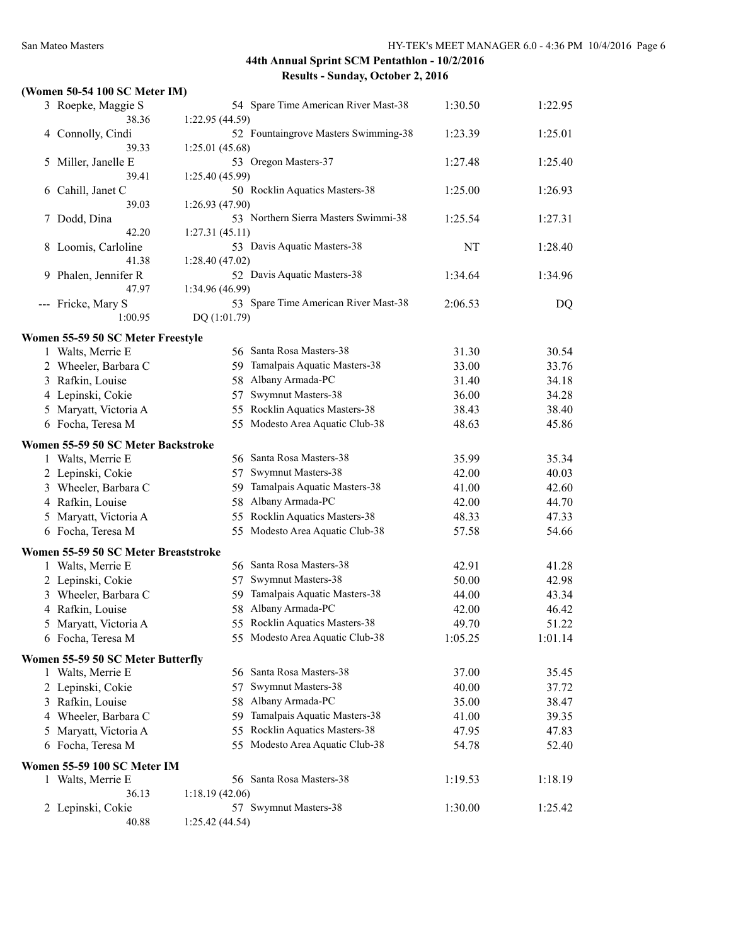#### **(Women 50-54 100 SC Meter IM)**

|   | 3 Roepke, Maggie S<br>38.36          | 54 Spare Time American River Mast-38                   | 1:30.50 | 1:22.95 |
|---|--------------------------------------|--------------------------------------------------------|---------|---------|
|   | 4 Connolly, Cindi                    | 1:22.95(44.59)<br>52 Fountaingrove Masters Swimming-38 | 1:23.39 | 1:25.01 |
|   | 39.33                                | 1:25.01(45.68)                                         |         |         |
| 5 | Miller, Janelle E                    | 53 Oregon Masters-37                                   | 1:27.48 | 1:25.40 |
|   | 39.41                                | 1:25.40(45.99)                                         |         |         |
| 6 | Cahill, Janet C                      | 50 Rocklin Aquatics Masters-38                         | 1:25.00 | 1:26.93 |
|   | 39.03                                | 1:26.93 (47.90)                                        |         |         |
| 7 | Dodd, Dina                           | 53 Northern Sierra Masters Swimmi-38                   | 1:25.54 | 1:27.31 |
|   | 42.20                                | 1:27.31(45.11)                                         |         |         |
|   | 8 Loomis, Carloline                  | 53 Davis Aquatic Masters-38                            | NT      | 1:28.40 |
|   | 41.38                                | 1:28.40(47.02)                                         |         |         |
|   | 9 Phalen, Jennifer R                 | 52 Davis Aquatic Masters-38                            | 1:34.64 | 1:34.96 |
|   | 47.97                                | 1:34.96 (46.99)                                        |         |         |
|   | --- Fricke, Mary S                   | 53 Spare Time American River Mast-38                   | 2:06.53 | DQ      |
|   | 1:00.95                              | DQ (1:01.79)                                           |         |         |
|   |                                      |                                                        |         |         |
|   | Women 55-59 50 SC Meter Freestyle    | 56 Santa Rosa Masters-38                               |         | 30.54   |
|   | 1 Walts, Merrie E                    |                                                        | 31.30   |         |
|   | 2 Wheeler, Barbara C                 | Tamalpais Aquatic Masters-38<br>59                     | 33.00   | 33.76   |
|   | 3 Rafkin, Louise                     | Albany Armada-PC<br>58                                 | 31.40   | 34.18   |
|   | 4 Lepinski, Cokie                    | Swymnut Masters-38<br>57                               | 36.00   | 34.28   |
|   | 5 Maryatt, Victoria A                | Rocklin Aquatics Masters-38<br>55.                     | 38.43   | 38.40   |
|   | 6 Focha, Teresa M                    | Modesto Area Aquatic Club-38<br>55.                    | 48.63   | 45.86   |
|   | Women 55-59 50 SC Meter Backstroke   |                                                        |         |         |
|   | 1 Walts, Merrie E                    | 56 Santa Rosa Masters-38                               | 35.99   | 35.34   |
|   | 2 Lepinski, Cokie                    | Swymnut Masters-38<br>57                               | 42.00   | 40.03   |
|   | 3 Wheeler, Barbara C                 | Tamalpais Aquatic Masters-38<br>59.                    | 41.00   | 42.60   |
|   | 4 Rafkin, Louise                     | 58 Albany Armada-PC                                    | 42.00   | 44.70   |
|   | 5 Maryatt, Victoria A                | 55 Rocklin Aquatics Masters-38                         | 48.33   | 47.33   |
|   | 6 Focha, Teresa M                    | 55 Modesto Area Aquatic Club-38                        | 57.58   | 54.66   |
|   |                                      |                                                        |         |         |
|   | Women 55-59 50 SC Meter Breaststroke |                                                        |         |         |
|   | 1 Walts, Merrie E                    | 56 Santa Rosa Masters-38                               | 42.91   | 41.28   |
|   | 2 Lepinski, Cokie                    | Swymnut Masters-38<br>57                               | 50.00   | 42.98   |
|   | 3 Wheeler, Barbara C                 | Tamalpais Aquatic Masters-38<br>59                     | 44.00   | 43.34   |
|   | 4 Rafkin, Louise                     | Albany Armada-PC<br>58                                 | 42.00   | 46.42   |
|   | 5 Maryatt, Victoria A                | 55 Rocklin Aquatics Masters-38                         | 49.70   | 51.22   |
|   | 6 Focha, Teresa M                    | 55 Modesto Area Aquatic Club-38                        | 1:05.25 | 1:01.14 |
|   |                                      |                                                        |         |         |
|   | Women 55-59 50 SC Meter Butterfly    | 56 Santa Rosa Masters-38                               |         |         |
|   | 1 Walts, Merrie E                    |                                                        | 37.00   | 35.45   |
|   | 2 Lepinski, Cokie                    | Swymnut Masters-38<br>57                               | 40.00   | 37.72   |
|   | 3 Rafkin, Louise                     | Albany Armada-PC<br>58                                 | 35.00   | 38.47   |
|   | 4 Wheeler, Barbara C                 | Tamalpais Aquatic Masters-38<br>59                     | 41.00   | 39.35   |
|   | 5 Maryatt, Victoria A                | Rocklin Aquatics Masters-38<br>55.                     | 47.95   | 47.83   |
|   | 6 Focha, Teresa M                    | 55 Modesto Area Aquatic Club-38                        | 54.78   | 52.40   |
|   | Women 55-59 100 SC Meter IM          |                                                        |         |         |
|   | 1 Walts, Merrie E                    | 56 Santa Rosa Masters-38                               | 1:19.53 | 1:18.19 |
|   | 36.13                                | 1:18.19(42.06)                                         |         |         |
|   | 2 Lepinski, Cokie                    | 57 Swymnut Masters-38                                  | 1:30.00 | 1:25.42 |
|   | 40.88                                | 1:25.42 (44.54)                                        |         |         |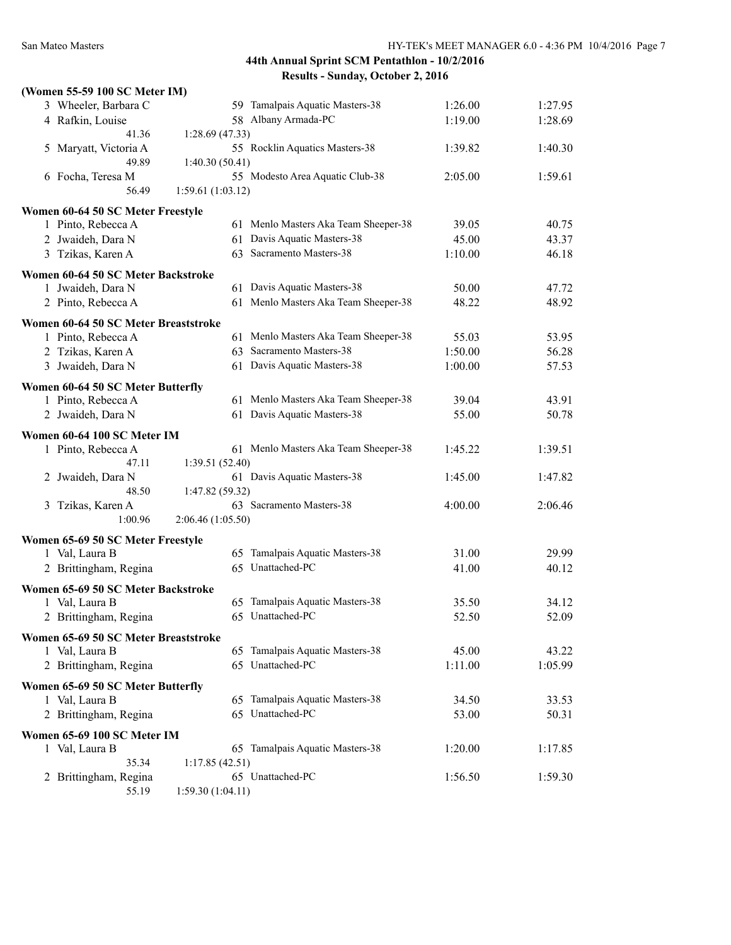| (Women 55-59 100 SC Meter IM)        |         |                   |                                      |                |         |
|--------------------------------------|---------|-------------------|--------------------------------------|----------------|---------|
| 3 Wheeler, Barbara C                 |         |                   | 59 Tamalpais Aquatic Masters-38      | 1:26.00        | 1:27.95 |
| 4 Rafkin, Louise                     |         |                   | 58 Albany Armada-PC                  | 1:19.00        | 1:28.69 |
|                                      | 41.36   | 1:28.69(47.33)    |                                      |                |         |
| Maryatt, Victoria A<br>5             |         |                   | 55 Rocklin Aquatics Masters-38       | 1:39.82        | 1:40.30 |
|                                      | 49.89   | 1:40.30(50.41)    |                                      |                |         |
| 6 Focha, Teresa M                    |         |                   | 55 Modesto Area Aquatic Club-38      | 2:05.00        | 1:59.61 |
|                                      | 56.49   | 1:59.61(1:03.12)  |                                      |                |         |
| Women 60-64 50 SC Meter Freestyle    |         |                   |                                      |                |         |
| 1 Pinto, Rebecca A                   |         |                   | 61 Menlo Masters Aka Team Sheeper-38 | 39.05          | 40.75   |
| 2 Jwaideh, Dara N                    |         |                   | 61 Davis Aquatic Masters-38          | 45.00          | 43.37   |
| 3 Tzikas, Karen A                    |         |                   | 63 Sacramento Masters-38             | 1:10.00        | 46.18   |
|                                      |         |                   |                                      |                |         |
| Women 60-64 50 SC Meter Backstroke   |         |                   | 61 Davis Aquatic Masters-38          |                |         |
| 1 Jwaideh, Dara N                    |         |                   | 61 Menlo Masters Aka Team Sheeper-38 | 50.00<br>48.22 | 47.72   |
| 2 Pinto, Rebecca A                   |         |                   |                                      |                | 48.92   |
| Women 60-64 50 SC Meter Breaststroke |         |                   |                                      |                |         |
| 1 Pinto, Rebecca A                   |         |                   | 61 Menlo Masters Aka Team Sheeper-38 | 55.03          | 53.95   |
| 2 Tzikas, Karen A                    |         |                   | 63 Sacramento Masters-38             | 1:50.00        | 56.28   |
| 3 Jwaideh, Dara N                    |         |                   | 61 Davis Aquatic Masters-38          | 1:00.00        | 57.53   |
| Women 60-64 50 SC Meter Butterfly    |         |                   |                                      |                |         |
| 1 Pinto, Rebecca A                   |         |                   | 61 Menlo Masters Aka Team Sheeper-38 | 39.04          | 43.91   |
| 2 Jwaideh, Dara N                    |         |                   | 61 Davis Aquatic Masters-38          | 55.00          | 50.78   |
|                                      |         |                   |                                      |                |         |
| Women 60-64 100 SC Meter IM          |         |                   |                                      |                |         |
| 1 Pinto, Rebecca A                   | 47.11   |                   | 61 Menlo Masters Aka Team Sheeper-38 | 1:45.22        | 1:39.51 |
| 2 Jwaideh, Dara N                    |         | 1:39.51 (52.40)   | 61 Davis Aquatic Masters-38          | 1:45.00        | 1:47.82 |
|                                      | 48.50   | 1:47.82 (59.32)   |                                      |                |         |
| Tzikas, Karen A<br>3                 |         |                   | 63 Sacramento Masters-38             | 4:00.00        | 2:06.46 |
|                                      | 1:00.96 | 2:06.46 (1:05.50) |                                      |                |         |
|                                      |         |                   |                                      |                |         |
| Women 65-69 50 SC Meter Freestyle    |         |                   |                                      |                |         |
| 1 Val, Laura B                       |         |                   | 65 Tamalpais Aquatic Masters-38      | 31.00          | 29.99   |
| 2 Brittingham, Regina                |         |                   | 65 Unattached-PC                     | 41.00          | 40.12   |
| Women 65-69 50 SC Meter Backstroke   |         |                   |                                      |                |         |
| 1 Val, Laura B                       |         |                   | 65 Tamalpais Aquatic Masters-38      | 35.50          | 34.12   |
| 2 Brittingham, Regina                |         |                   | 65 Unattached-PC                     | 52.50          | 52.09   |
| Women 65-69 50 SC Meter Breaststroke |         |                   |                                      |                |         |
| 1 Val, Laura B                       |         |                   | 65 Tamalpais Aquatic Masters-38      | 45.00          | 43.22   |
| 2 Brittingham, Regina                |         |                   | 65 Unattached-PC                     | 1:11.00        | 1:05.99 |
|                                      |         |                   |                                      |                |         |
| Women 65-69 50 SC Meter Butterfly    |         |                   |                                      |                |         |
| 1 Val, Laura B                       |         |                   | 65 Tamalpais Aquatic Masters-38      | 34.50          | 33.53   |
| 2 Brittingham, Regina                |         |                   | 65 Unattached-PC                     | 53.00          | 50.31   |
| Women 65-69 100 SC Meter IM          |         |                   |                                      |                |         |
| 1 Val, Laura B                       |         |                   | 65 Tamalpais Aquatic Masters-38      | 1:20.00        | 1:17.85 |
|                                      | 35.34   | 1:17.85(42.51)    |                                      |                |         |
| 2 Brittingham, Regina                |         |                   | 65 Unattached-PC                     | 1:56.50        | 1:59.30 |
|                                      | 55.19   | 1:59.30(1:04.11)  |                                      |                |         |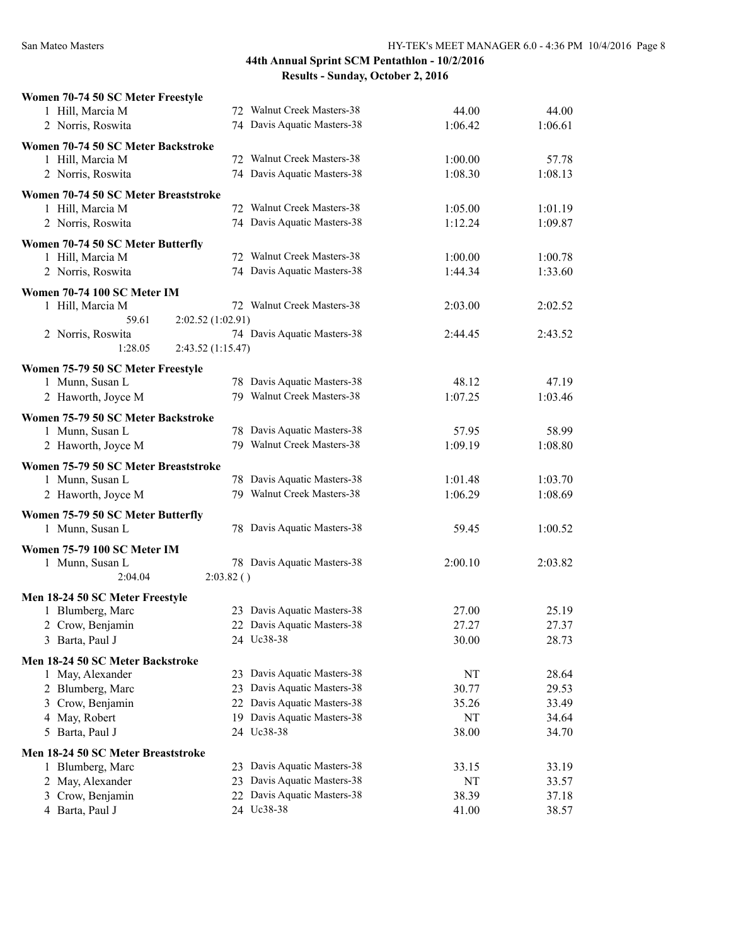| Women 70-74 50 SC Meter Freestyle              |           |                             |         |         |
|------------------------------------------------|-----------|-----------------------------|---------|---------|
| 1 Hill, Marcia M                               |           | 72 Walnut Creek Masters-38  | 44.00   | 44.00   |
| 2 Norris, Roswita                              |           | 74 Davis Aquatic Masters-38 | 1:06.42 | 1:06.61 |
| Women 70-74 50 SC Meter Backstroke             |           |                             |         |         |
| 1 Hill, Marcia M                               |           | 72 Walnut Creek Masters-38  | 1:00.00 | 57.78   |
| 2 Norris, Roswita                              |           | 74 Davis Aquatic Masters-38 | 1:08.30 | 1:08.13 |
| Women 70-74 50 SC Meter Breaststroke           |           |                             |         |         |
| 1 Hill, Marcia M                               |           | 72 Walnut Creek Masters-38  | 1:05.00 | 1:01.19 |
| 2 Norris, Roswita                              |           | 74 Davis Aquatic Masters-38 | 1:12.24 | 1:09.87 |
|                                                |           |                             |         |         |
| Women 70-74 50 SC Meter Butterfly              |           |                             |         |         |
| 1 Hill, Marcia M                               |           | 72 Walnut Creek Masters-38  | 1:00.00 | 1:00.78 |
| 2 Norris, Roswita                              |           | 74 Davis Aquatic Masters-38 | 1:44.34 | 1:33.60 |
| Women 70-74 100 SC Meter IM                    |           |                             |         |         |
| 1 Hill, Marcia M                               |           | 72 Walnut Creek Masters-38  | 2:03.00 | 2:02.52 |
| 59.61<br>2:02.52 (1:02.91)                     |           |                             |         |         |
| 2 Norris, Roswita                              |           | 74 Davis Aquatic Masters-38 | 2:44.45 | 2:43.52 |
| 1:28.05<br>2:43.52 (1:15.47)                   |           |                             |         |         |
| Women 75-79 50 SC Meter Freestyle              |           |                             |         |         |
| 1 Munn, Susan L                                |           | 78 Davis Aquatic Masters-38 | 48.12   | 47.19   |
| 2 Haworth, Joyce M                             |           | 79 Walnut Creek Masters-38  | 1:07.25 | 1:03.46 |
|                                                |           |                             |         |         |
| Women 75-79 50 SC Meter Backstroke             |           | 78 Davis Aquatic Masters-38 |         |         |
| 1 Munn, Susan L                                |           | 79 Walnut Creek Masters-38  | 57.95   | 58.99   |
| 2 Haworth, Joyce M                             |           |                             | 1:09.19 | 1:08.80 |
| Women 75-79 50 SC Meter Breaststroke           |           |                             |         |         |
| 1 Munn, Susan L                                |           | 78 Davis Aquatic Masters-38 | 1:01.48 | 1:03.70 |
| 2 Haworth, Joyce M                             |           | 79 Walnut Creek Masters-38  | 1:06.29 | 1:08.69 |
| Women 75-79 50 SC Meter Butterfly              |           |                             |         |         |
| 1 Munn, Susan L                                |           | 78 Davis Aquatic Masters-38 | 59.45   | 1:00.52 |
|                                                |           |                             |         |         |
| Women 75-79 100 SC Meter IM<br>1 Munn, Susan L |           | 78 Davis Aquatic Masters-38 | 2:00.10 | 2:03.82 |
| 2:04.04                                        | 2:03.82() |                             |         |         |
|                                                |           |                             |         |         |
| Men 18-24 50 SC Meter Freestyle                |           |                             |         |         |
| 1 Blumberg, Marc                               |           | 23 Davis Aquatic Masters-38 | 27.00   | 25.19   |
| 2 Crow, Benjamin                               |           | 22 Davis Aquatic Masters-38 | 27.27   | 27.37   |
| 3 Barta, Paul J                                |           | 24 Uc38-38                  | 30.00   | 28.73   |
| Men 18-24 50 SC Meter Backstroke               |           |                             |         |         |
| 1 May, Alexander                               |           | 23 Davis Aquatic Masters-38 | NT      | 28.64   |
| 2 Blumberg, Marc                               |           | 23 Davis Aquatic Masters-38 | 30.77   | 29.53   |
| 3 Crow, Benjamin                               |           | 22 Davis Aquatic Masters-38 | 35.26   | 33.49   |
| 4 May, Robert                                  |           | 19 Davis Aquatic Masters-38 | NT      | 34.64   |
| 5 Barta, Paul J                                |           | 24 Uc38-38                  | 38.00   | 34.70   |
| Men 18-24 50 SC Meter Breaststroke             |           |                             |         |         |
| 1 Blumberg, Marc                               |           | 23 Davis Aquatic Masters-38 | 33.15   | 33.19   |
| 2 May, Alexander                               |           | 23 Davis Aquatic Masters-38 | NT      | 33.57   |
| 3 Crow, Benjamin                               |           | 22 Davis Aquatic Masters-38 | 38.39   | 37.18   |
| 4 Barta, Paul J                                |           | 24 Uc38-38                  | 41.00   | 38.57   |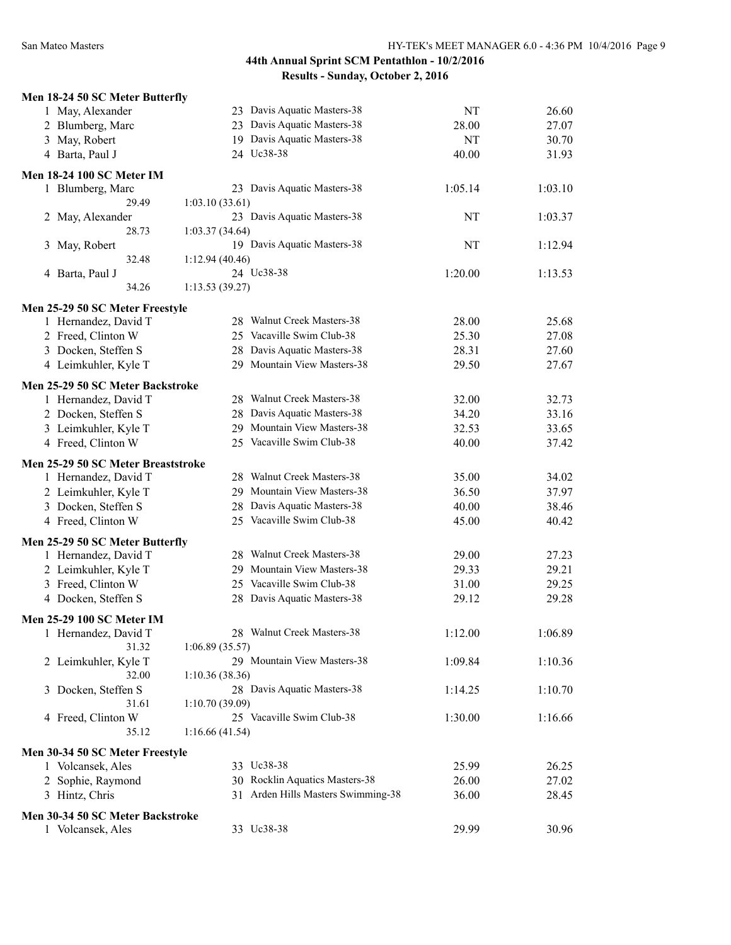| Men 18-24 50 SC Meter Butterfly                   |                                    |         |         |
|---------------------------------------------------|------------------------------------|---------|---------|
| 1 May, Alexander                                  | 23 Davis Aquatic Masters-38        | NT      | 26.60   |
| 2 Blumberg, Marc                                  | 23 Davis Aquatic Masters-38        | 28.00   | 27.07   |
| 3 May, Robert                                     | 19 Davis Aquatic Masters-38        | NT      | 30.70   |
| 4 Barta, Paul J                                   | 24 Uc38-38                         | 40.00   | 31.93   |
| <b>Men 18-24 100 SC Meter IM</b>                  |                                    |         |         |
| 1 Blumberg, Marc                                  | 23 Davis Aquatic Masters-38        | 1:05.14 | 1:03.10 |
| 29.49                                             | 1:03.10(33.61)                     |         |         |
| 2 May, Alexander                                  | 23 Davis Aquatic Masters-38        | NT      | 1:03.37 |
| 28.73                                             | 1:03.37(34.64)                     |         |         |
| May, Robert<br>3                                  | 19 Davis Aquatic Masters-38        | NT      | 1:12.94 |
| 32.48                                             | 1:12.94(40.46)                     |         |         |
| 4 Barta, Paul J                                   | 24 Uc38-38                         | 1:20.00 | 1:13.53 |
| 34.26                                             | 1:13.53(39.27)                     |         |         |
| Men 25-29 50 SC Meter Freestyle                   |                                    |         |         |
| 1 Hernandez, David T                              | 28 Walnut Creek Masters-38         | 28.00   | 25.68   |
| 2 Freed, Clinton W                                | 25 Vacaville Swim Club-38          | 25.30   | 27.08   |
| 3 Docken, Steffen S                               | 28 Davis Aquatic Masters-38        | 28.31   | 27.60   |
| 4 Leimkuhler, Kyle T                              | 29 Mountain View Masters-38        | 29.50   | 27.67   |
|                                                   |                                    |         |         |
| Men 25-29 50 SC Meter Backstroke                  |                                    |         |         |
| 1 Hernandez, David T                              | 28 Walnut Creek Masters-38         | 32.00   | 32.73   |
| 2 Docken, Steffen S                               | 28 Davis Aquatic Masters-38        | 34.20   | 33.16   |
| 3 Leimkuhler, Kyle T                              | 29 Mountain View Masters-38        | 32.53   | 33.65   |
| 4 Freed, Clinton W                                | 25 Vacaville Swim Club-38          | 40.00   | 37.42   |
| Men 25-29 50 SC Meter Breaststroke                |                                    |         |         |
| 1 Hernandez, David T                              | 28 Walnut Creek Masters-38         | 35.00   | 34.02   |
| 2 Leimkuhler, Kyle T                              | 29 Mountain View Masters-38        | 36.50   | 37.97   |
| 3 Docken, Steffen S                               | 28 Davis Aquatic Masters-38        | 40.00   | 38.46   |
| 4 Freed, Clinton W                                | 25 Vacaville Swim Club-38          | 45.00   | 40.42   |
| Men 25-29 50 SC Meter Butterfly                   |                                    |         |         |
| 1 Hernandez, David T                              | 28 Walnut Creek Masters-38         | 29.00   | 27.23   |
| 2 Leimkuhler, Kyle T                              | 29 Mountain View Masters-38        | 29.33   | 29.21   |
| 3 Freed, Clinton W                                | 25 Vacaville Swim Club-38          | 31.00   | 29.25   |
| 4 Docken, Steffen S                               | 28 Davis Aquatic Masters-38        | 29.12   | 29.28   |
|                                                   |                                    |         |         |
| Men 25-29 100 SC Meter IM<br>1 Hernandez, David T | 28 Walnut Creek Masters-38         | 1:12.00 | 1:06.89 |
| 31.32                                             | 1:06.89(35.57)                     |         |         |
| 2 Leimkuhler, Kyle T                              | 29 Mountain View Masters-38        | 1:09.84 | 1:10.36 |
| 32.00                                             | 1:10.36(38.36)                     |         |         |
| Docken, Steffen S<br>3                            | 28 Davis Aquatic Masters-38        | 1:14.25 | 1:10.70 |
| 31.61                                             | 1:10.70(39.09)                     |         |         |
| 4 Freed, Clinton W                                | 25 Vacaville Swim Club-38          | 1:30.00 | 1:16.66 |
| 35.12                                             | 1:16.66(41.54)                     |         |         |
|                                                   |                                    |         |         |
| Men 30-34 50 SC Meter Freestyle                   |                                    |         |         |
| 1 Volcansek, Ales                                 | 33 Uc38-38                         | 25.99   | 26.25   |
| 2 Sophie, Raymond                                 | 30 Rocklin Aquatics Masters-38     | 26.00   | 27.02   |
| 3 Hintz, Chris                                    | 31 Arden Hills Masters Swimming-38 | 36.00   | 28.45   |
| Men 30-34 50 SC Meter Backstroke                  |                                    |         |         |
| 1 Volcansek, Ales                                 | 33 Uc38-38                         | 29.99   | 30.96   |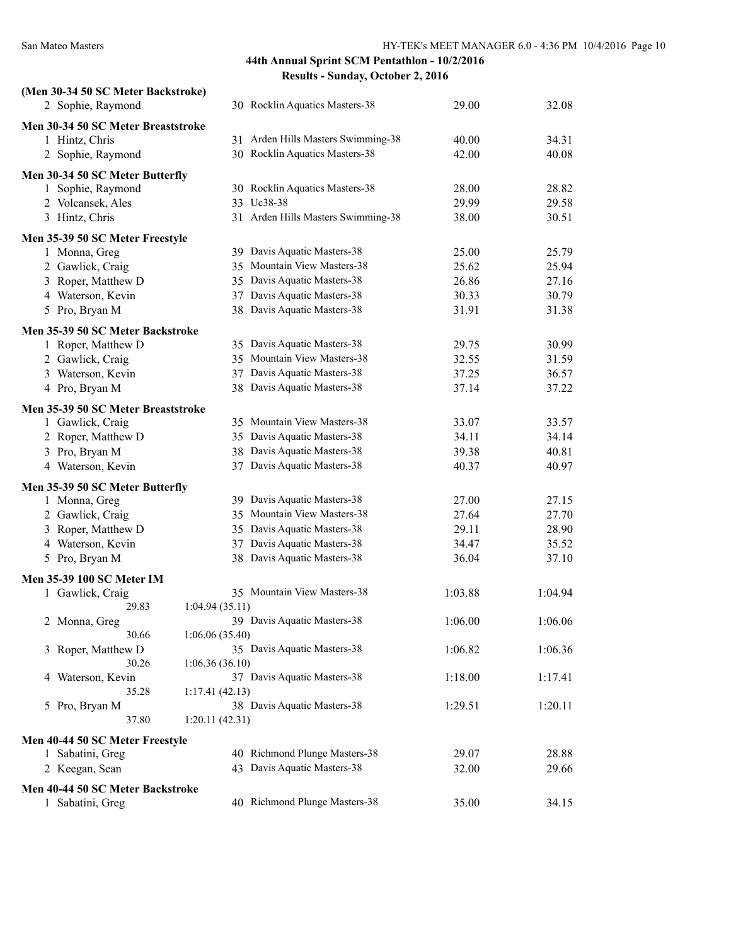| (Men 30-34 50 SC Meter Backstroke) |                |                                    |         |         |
|------------------------------------|----------------|------------------------------------|---------|---------|
| 2 Sophie, Raymond                  |                | 30 Rocklin Aquatics Masters-38     | 29.00   | 32.08   |
| Men 30-34 50 SC Meter Breaststroke |                |                                    |         |         |
| 1 Hintz, Chris                     |                | 31 Arden Hills Masters Swimming-38 | 40.00   | 34.31   |
| 2 Sophie, Raymond                  |                | 30 Rocklin Aquatics Masters-38     | 42.00   | 40.08   |
| Men 30-34 50 SC Meter Butterfly    |                |                                    |         |         |
| 1 Sophie, Raymond                  |                | 30 Rocklin Aquatics Masters-38     | 28.00   | 28.82   |
| 2 Volcansek, Ales                  |                | 33 Uc38-38                         | 29.99   | 29.58   |
| 3 Hintz, Chris                     |                | 31 Arden Hills Masters Swimming-38 | 38.00   | 30.51   |
| Men 35-39 50 SC Meter Freestyle    |                |                                    |         |         |
| 1 Monna, Greg                      |                | 39 Davis Aquatic Masters-38        | 25.00   | 25.79   |
| 2 Gawlick, Craig                   |                | 35 Mountain View Masters-38        | 25.62   | 25.94   |
| 3 Roper, Matthew D                 |                | 35 Davis Aquatic Masters-38        | 26.86   | 27.16   |
| 4 Waterson, Kevin                  |                | 37 Davis Aquatic Masters-38        | 30.33   | 30.79   |
| 5 Pro, Bryan M                     |                | 38 Davis Aquatic Masters-38        | 31.91   | 31.38   |
| Men 35-39 50 SC Meter Backstroke   |                |                                    |         |         |
| 1 Roper, Matthew D                 |                | 35 Davis Aquatic Masters-38        | 29.75   | 30.99   |
| 2 Gawlick, Craig                   |                | 35 Mountain View Masters-38        | 32.55   | 31.59   |
| 3 Waterson, Kevin                  |                | 37 Davis Aquatic Masters-38        | 37.25   | 36.57   |
| 4 Pro, Bryan M                     |                | 38 Davis Aquatic Masters-38        | 37.14   | 37.22   |
| Men 35-39 50 SC Meter Breaststroke |                |                                    |         |         |
| 1 Gawlick, Craig                   |                | 35 Mountain View Masters-38        | 33.07   | 33.57   |
| 2 Roper, Matthew D                 |                | 35 Davis Aquatic Masters-38        | 34.11   | 34.14   |
| 3 Pro, Bryan M                     |                | 38 Davis Aquatic Masters-38        | 39.38   | 40.81   |
| 4 Waterson, Kevin                  |                | 37 Davis Aquatic Masters-38        | 40.37   | 40.97   |
| Men 35-39 50 SC Meter Butterfly    |                |                                    |         |         |
| 1 Monna, Greg                      |                | 39 Davis Aquatic Masters-38        | 27.00   | 27.15   |
| 2 Gawlick, Craig                   |                | 35 Mountain View Masters-38        | 27.64   | 27.70   |
| 3 Roper, Matthew D                 |                | 35 Davis Aquatic Masters-38        | 29.11   | 28.90   |
| 4 Waterson, Kevin                  |                | 37 Davis Aquatic Masters-38        | 34.47   | 35.52   |
| 5 Pro, Bryan M                     |                | 38 Davis Aquatic Masters-38        | 36.04   | 37.10   |
| Men 35-39 100 SC Meter IM          |                |                                    |         |         |
| 1 Gawlick, Craig                   |                | 35 Mountain View Masters-38        | 1:03.88 | 1:04.94 |
| 29.83                              | 1:04.94(35.11) |                                    |         |         |
| 2 Monna, Greg                      |                | 39 Davis Aquatic Masters-38        | 1:06.00 | 1:06.06 |
| 30.66                              | 1:06.06(35.40) |                                    |         |         |
| 3 Roper, Matthew D                 |                | 35 Davis Aquatic Masters-38        | 1:06.82 | 1:06.36 |
| 30.26                              | 1:06.36(36.10) |                                    |         |         |
| Waterson, Kevin<br>4               |                | 37 Davis Aquatic Masters-38        | 1:18.00 | 1:17.41 |
| 35.28                              | 1:17.41(42.13) |                                    |         |         |
| 5 Pro, Bryan M                     |                | 38 Davis Aquatic Masters-38        | 1:29.51 | 1:20.11 |
| 37.80                              | 1:20.11(42.31) |                                    |         |         |
| Men 40-44 50 SC Meter Freestyle    |                |                                    |         |         |
| 1 Sabatini, Greg                   |                | 40 Richmond Plunge Masters-38      | 29.07   | 28.88   |
| 2 Keegan, Sean                     |                | 43 Davis Aquatic Masters-38        | 32.00   | 29.66   |
| Men 40-44 50 SC Meter Backstroke   |                |                                    |         |         |
| 1 Sabatini, Greg                   |                | 40 Richmond Plunge Masters-38      | 35.00   | 34.15   |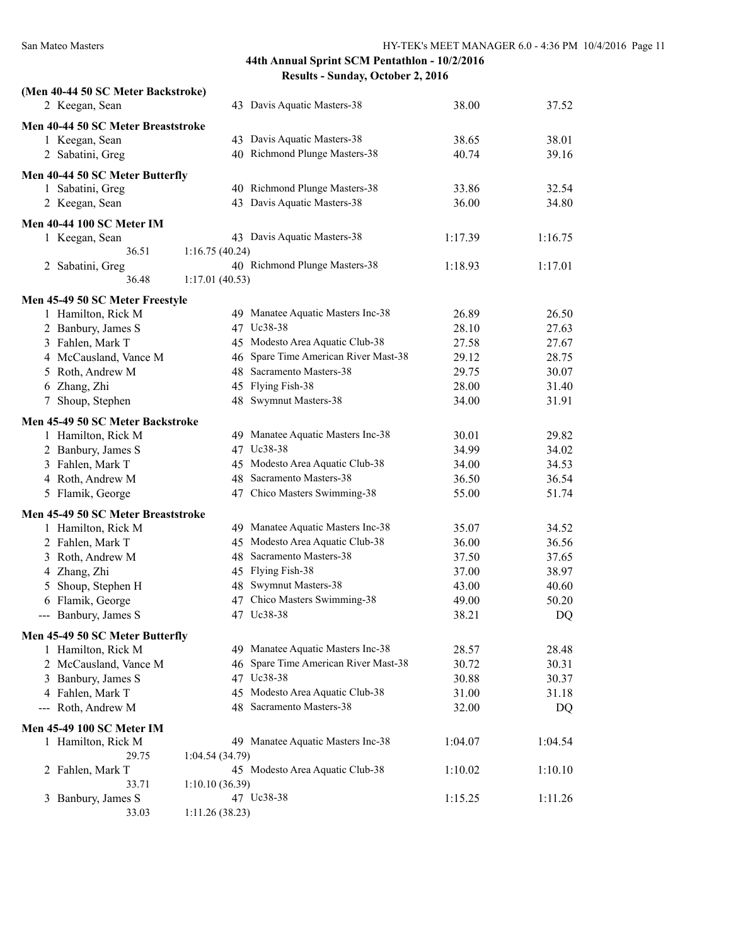| (Men 40-44 50 SC Meter Backstroke)                    |                |                                      |                |         |
|-------------------------------------------------------|----------------|--------------------------------------|----------------|---------|
| 2 Keegan, Sean                                        |                | 43 Davis Aquatic Masters-38          | 38.00          | 37.52   |
| Men 40-44 50 SC Meter Breaststroke                    |                |                                      |                |         |
| 1 Keegan, Sean                                        |                | 43 Davis Aquatic Masters-38          | 38.65          | 38.01   |
| 2 Sabatini, Greg                                      |                | 40 Richmond Plunge Masters-38        | 40.74          | 39.16   |
|                                                       |                |                                      |                |         |
| Men 40-44 50 SC Meter Butterfly                       |                | 40 Richmond Plunge Masters-38        |                | 32.54   |
| 1 Sabatini, Greg                                      |                | 43 Davis Aquatic Masters-38          | 33.86<br>36.00 | 34.80   |
| 2 Keegan, Sean                                        |                |                                      |                |         |
| <b>Men 40-44 100 SC Meter IM</b>                      |                |                                      |                |         |
| 1 Keegan, Sean                                        |                | 43 Davis Aquatic Masters-38          | 1:17.39        | 1:16.75 |
| 36.51                                                 | 1:16.75(40.24) |                                      |                |         |
| 2 Sabatini, Greg                                      |                | 40 Richmond Plunge Masters-38        | 1:18.93        | 1:17.01 |
| 36.48                                                 | 1:17.01(40.53) |                                      |                |         |
| Men 45-49 50 SC Meter Freestyle                       |                |                                      |                |         |
| 1 Hamilton, Rick M                                    |                | 49 Manatee Aquatic Masters Inc-38    | 26.89          | 26.50   |
| 2 Banbury, James S                                    |                | 47 Uc38-38                           | 28.10          | 27.63   |
| 3 Fahlen, Mark T                                      |                | 45 Modesto Area Aquatic Club-38      | 27.58          | 27.67   |
| 4 McCausland, Vance M                                 |                | 46 Spare Time American River Mast-38 | 29.12          | 28.75   |
| 5 Roth, Andrew M                                      |                | 48 Sacramento Masters-38             | 29.75          | 30.07   |
| 6 Zhang, Zhi                                          |                | 45 Flying Fish-38                    | 28.00          | 31.40   |
| 7 Shoup, Stephen                                      |                | 48 Swymnut Masters-38                | 34.00          | 31.91   |
| Men 45-49 50 SC Meter Backstroke                      |                |                                      |                |         |
| 1 Hamilton, Rick M                                    |                | 49 Manatee Aquatic Masters Inc-38    | 30.01          | 29.82   |
| 2 Banbury, James S                                    |                | 47 Uc38-38                           | 34.99          | 34.02   |
| 3 Fahlen, Mark T                                      |                | 45 Modesto Area Aquatic Club-38      | 34.00          | 34.53   |
| 4 Roth, Andrew M                                      |                | 48 Sacramento Masters-38             | 36.50          | 36.54   |
| 5 Flamik, George                                      |                | 47 Chico Masters Swimming-38         | 55.00          | 51.74   |
| Men 45-49 50 SC Meter Breaststroke                    |                |                                      |                |         |
| 1 Hamilton, Rick M                                    |                | 49 Manatee Aquatic Masters Inc-38    | 35.07          | 34.52   |
| 2 Fahlen, Mark T                                      |                | 45 Modesto Area Aquatic Club-38      | 36.00          | 36.56   |
| 3 Roth, Andrew M                                      |                | 48 Sacramento Masters-38             | 37.50          | 37.65   |
| 4 Zhang, Zhi                                          |                | 45 Flying Fish-38                    | 37.00          | 38.97   |
| Shoup, Stephen H<br>5                                 |                | 48 Swymnut Masters-38                | 43.00          | 40.60   |
| 6 Flamik, George                                      |                | 47 Chico Masters Swimming-38         | 49.00          | 50.20   |
| --- Banbury, James S                                  |                | 47 Uc38-38                           | 38.21          | DQ      |
|                                                       |                |                                      |                |         |
| Men 45-49 50 SC Meter Butterfly<br>1 Hamilton, Rick M |                | 49 Manatee Aquatic Masters Inc-38    | 28.57          | 28.48   |
| 2 McCausland, Vance M                                 |                | 46 Spare Time American River Mast-38 | 30.72          | 30.31   |
| 3 Banbury, James S                                    |                | 47 Uc38-38                           | 30.88          | 30.37   |
| 4 Fahlen, Mark T                                      |                | 45 Modesto Area Aquatic Club-38      | 31.00          | 31.18   |
| Roth, Andrew M<br>$\frac{1}{2}$                       |                | 48 Sacramento Masters-38             | 32.00          | DQ      |
|                                                       |                |                                      |                |         |
| <b>Men 45-49 100 SC Meter IM</b>                      |                |                                      |                |         |
| 1 Hamilton, Rick M                                    |                | 49 Manatee Aquatic Masters Inc-38    | 1:04.07        | 1:04.54 |
| 29.75                                                 | 1:04.54(34.79) |                                      |                |         |
| 2 Fahlen, Mark T                                      |                | 45 Modesto Area Aquatic Club-38      | 1:10.02        | 1:10.10 |
| 33.71                                                 | 1:10.10(36.39) | 47 Uc38-38                           |                | 1:11.26 |
| Banbury, James S<br>3<br>33.03                        | 1:11.26(38.23) |                                      | 1:15.25        |         |
|                                                       |                |                                      |                |         |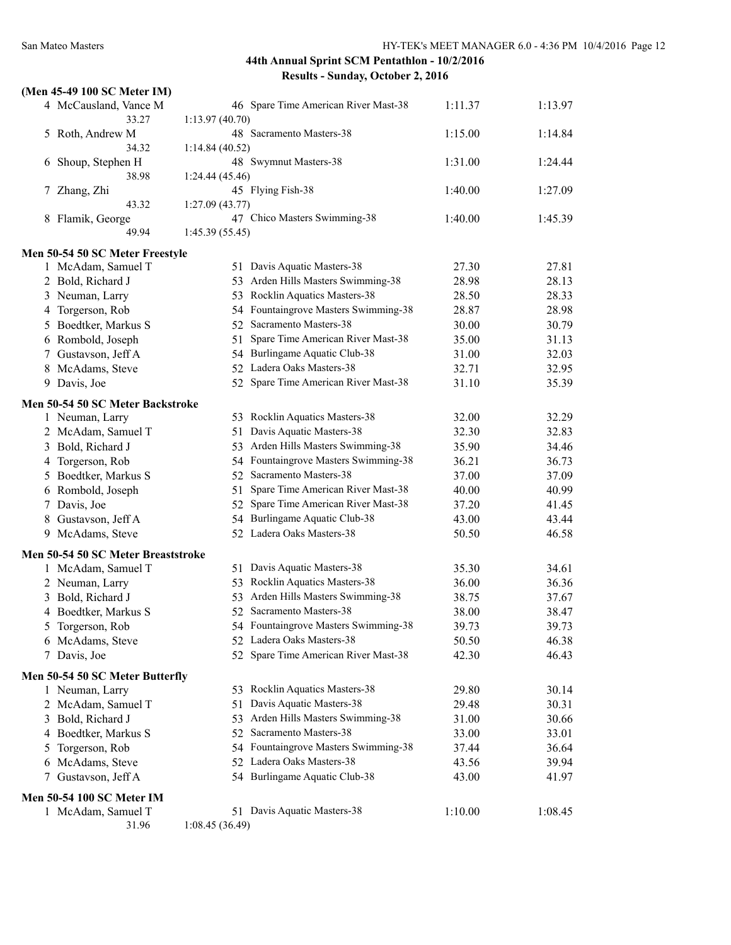|   | (Men 45-49 100 SC Meter IM)        |                |                                      |         |         |
|---|------------------------------------|----------------|--------------------------------------|---------|---------|
|   | 4 McCausland, Vance M              |                | 46 Spare Time American River Mast-38 | 1:11.37 | 1:13.97 |
|   | 33.27                              | 1:13.97(40.70) |                                      |         |         |
|   | 5 Roth, Andrew M<br>34.32          |                | 48 Sacramento Masters-38             | 1:15.00 | 1:14.84 |
|   |                                    | 1:14.84(40.52) | 48 Swymnut Masters-38                | 1:31.00 | 1:24.44 |
|   | 6 Shoup, Stephen H<br>38.98        | 1:24.44(45.46) |                                      |         |         |
|   | 7 Zhang, Zhi                       |                | 45 Flying Fish-38                    | 1:40.00 | 1:27.09 |
|   | 43.32                              | 1:27.09(43.77) |                                      |         |         |
|   | 8 Flamik, George                   |                | 47 Chico Masters Swimming-38         | 1:40.00 | 1:45.39 |
|   | 49.94                              | 1:45.39(55.45) |                                      |         |         |
|   | Men 50-54 50 SC Meter Freestyle    |                |                                      |         |         |
|   | 1 McAdam, Samuel T                 |                | 51 Davis Aquatic Masters-38          | 27.30   | 27.81   |
|   | 2 Bold, Richard J                  |                | 53 Arden Hills Masters Swimming-38   | 28.98   | 28.13   |
|   | 3 Neuman, Larry                    |                | 53 Rocklin Aquatics Masters-38       | 28.50   | 28.33   |
|   | 4 Torgerson, Rob                   |                | 54 Fountaingrove Masters Swimming-38 | 28.87   | 28.98   |
|   | 5 Boedtker, Markus S               |                | 52 Sacramento Masters-38             | 30.00   | 30.79   |
|   | 6 Rombold, Joseph                  | 51             | Spare Time American River Mast-38    | 35.00   | 31.13   |
|   | 7 Gustavson, Jeff A                |                | 54 Burlingame Aquatic Club-38        | 31.00   | 32.03   |
|   | 8 McAdams, Steve                   |                | 52 Ladera Oaks Masters-38            | 32.71   | 32.95   |
|   | 9 Davis, Joe                       |                | 52 Spare Time American River Mast-38 | 31.10   | 35.39   |
|   | Men 50-54 50 SC Meter Backstroke   |                |                                      |         |         |
|   | 1 Neuman, Larry                    |                | 53 Rocklin Aquatics Masters-38       | 32.00   | 32.29   |
|   | 2 McAdam, Samuel T                 | 51             | Davis Aquatic Masters-38             | 32.30   | 32.83   |
|   | 3 Bold, Richard J                  |                | 53 Arden Hills Masters Swimming-38   | 35.90   | 34.46   |
|   | 4 Torgerson, Rob                   |                | 54 Fountaingrove Masters Swimming-38 | 36.21   | 36.73   |
|   | 5 Boedtker, Markus S               |                | 52 Sacramento Masters-38             | 37.00   | 37.09   |
|   | 6 Rombold, Joseph                  | 51             | Spare Time American River Mast-38    | 40.00   | 40.99   |
|   | 7 Davis, Joe                       |                | 52 Spare Time American River Mast-38 | 37.20   | 41.45   |
|   | 8 Gustavson, Jeff A                |                | 54 Burlingame Aquatic Club-38        | 43.00   | 43.44   |
|   | 9 McAdams, Steve                   |                | 52 Ladera Oaks Masters-38            | 50.50   | 46.58   |
|   | Men 50-54 50 SC Meter Breaststroke |                |                                      |         |         |
|   | 1 McAdam, Samuel T                 |                | 51 Davis Aquatic Masters-38          | 35.30   | 34.61   |
|   | 2 Neuman, Larry                    | 53             | Rocklin Aquatics Masters-38          | 36.00   | 36.36   |
|   | 3 Bold, Richard J                  | 53             | Arden Hills Masters Swimming-38      | 38.75   | 37.67   |
|   | 4 Boedtker, Markus S               |                | 52 Sacramento Masters-38             | 38.00   | 38.47   |
|   | 5 Torgerson, Rob                   |                | 54 Fountaingrove Masters Swimming-38 | 39.73   | 39.73   |
|   | 6 McAdams, Steve                   |                | 52 Ladera Oaks Masters-38            | 50.50   | 46.38   |
|   | 7 Davis, Joe                       |                | 52 Spare Time American River Mast-38 | 42.30   | 46.43   |
|   | Men 50-54 50 SC Meter Butterfly    |                |                                      |         |         |
|   | 1 Neuman, Larry                    |                | 53 Rocklin Aquatics Masters-38       | 29.80   | 30.14   |
|   | 2 McAdam, Samuel T                 | 51             | Davis Aquatic Masters-38             | 29.48   | 30.31   |
|   | 3 Bold, Richard J                  |                | 53 Arden Hills Masters Swimming-38   | 31.00   | 30.66   |
|   | 4 Boedtker, Markus S               |                | 52 Sacramento Masters-38             | 33.00   | 33.01   |
| 5 | Torgerson, Rob                     |                | 54 Fountaingrove Masters Swimming-38 | 37.44   | 36.64   |
|   | 6 McAdams, Steve                   |                | 52 Ladera Oaks Masters-38            | 43.56   | 39.94   |
|   | 7 Gustavson, Jeff A                |                | 54 Burlingame Aquatic Club-38        | 43.00   | 41.97   |
|   | <b>Men 50-54 100 SC Meter IM</b>   |                |                                      |         |         |
|   | 1 McAdam, Samuel T                 |                | 51 Davis Aquatic Masters-38          | 1:10.00 | 1:08.45 |
|   | 31.96                              | 1:08.45(36.49) |                                      |         |         |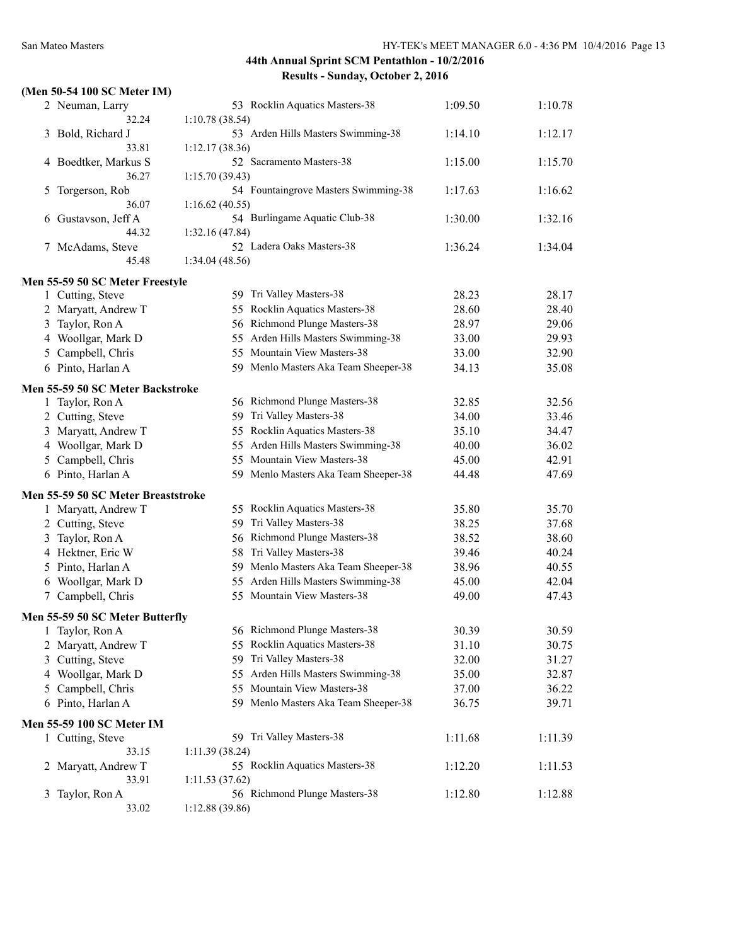|  |  | (Men 50-54 100 SC Meter IM) |  |
|--|--|-----------------------------|--|
|  |  |                             |  |

|   | 2 Neuman, Larry<br>32.24           | 53 Rocklin Aquatics Masters-38<br>1:10.78(38.54) | 1:09.50 | 1:10.78 |
|---|------------------------------------|--------------------------------------------------|---------|---------|
|   | 3 Bold, Richard J                  | 53 Arden Hills Masters Swimming-38               | 1:14.10 | 1:12.17 |
|   | 33.81                              | 1:12.17(38.36)                                   |         |         |
|   | 4 Boedtker, Markus S               | 52 Sacramento Masters-38                         | 1:15.00 | 1:15.70 |
|   | 36.27                              | 1:15.70 (39.43)                                  |         |         |
|   | 5 Torgerson, Rob                   | 54 Fountaingrove Masters Swimming-38             | 1:17.63 | 1:16.62 |
|   | 36.07                              | 1:16.62(40.55)                                   |         |         |
| 6 | Gustavson, Jeff A                  | 54 Burlingame Aquatic Club-38                    | 1:30.00 | 1:32.16 |
|   | 44.32                              | 1:32.16(47.84)                                   |         |         |
|   | 7 McAdams, Steve                   | 52 Ladera Oaks Masters-38                        | 1:36.24 | 1:34.04 |
|   | 45.48                              | 1:34.04 (48.56)                                  |         |         |
|   |                                    |                                                  |         |         |
|   | Men 55-59 50 SC Meter Freestyle    | 59 Tri Valley Masters-38                         | 28.23   | 28.17   |
|   | 1 Cutting, Steve                   | 55 Rocklin Aquatics Masters-38                   | 28.60   | 28.40   |
|   | 2 Maryatt, Andrew T                | 56 Richmond Plunge Masters-38                    | 28.97   | 29.06   |
|   | 3 Taylor, Ron A                    | 55 Arden Hills Masters Swimming-38               |         |         |
|   | 4 Woollgar, Mark D                 | 55 Mountain View Masters-38                      | 33.00   | 29.93   |
|   | 5 Campbell, Chris                  |                                                  | 33.00   | 32.90   |
|   | 6 Pinto, Harlan A                  | 59 Menlo Masters Aka Team Sheeper-38             | 34.13   | 35.08   |
|   | Men 55-59 50 SC Meter Backstroke   |                                                  |         |         |
|   | 1 Taylor, Ron A                    | 56 Richmond Plunge Masters-38                    | 32.85   | 32.56   |
|   | 2 Cutting, Steve                   | 59 Tri Valley Masters-38                         | 34.00   | 33.46   |
|   | 3 Maryatt, Andrew T                | 55 Rocklin Aquatics Masters-38                   | 35.10   | 34.47   |
|   | 4 Woollgar, Mark D                 | 55 Arden Hills Masters Swimming-38               | 40.00   | 36.02   |
|   | 5 Campbell, Chris                  | 55 Mountain View Masters-38                      | 45.00   | 42.91   |
|   | 6 Pinto, Harlan A                  | 59 Menlo Masters Aka Team Sheeper-38             | 44.48   | 47.69   |
|   | Men 55-59 50 SC Meter Breaststroke |                                                  |         |         |
|   | 1 Maryatt, Andrew T                | 55 Rocklin Aquatics Masters-38                   | 35.80   | 35.70   |
|   | 2 Cutting, Steve                   | Tri Valley Masters-38<br>59                      | 38.25   | 37.68   |
|   | 3 Taylor, Ron A                    | 56 Richmond Plunge Masters-38                    | 38.52   | 38.60   |
|   | 4 Hektner, Eric W                  | 58 Tri Valley Masters-38                         | 39.46   | 40.24   |
|   | 5 Pinto, Harlan A                  | 59 Menlo Masters Aka Team Sheeper-38             | 38.96   | 40.55   |
|   | 6 Woollgar, Mark D                 | 55 Arden Hills Masters Swimming-38               | 45.00   | 42.04   |
|   | 7 Campbell, Chris                  | 55 Mountain View Masters-38                      | 49.00   | 47.43   |
|   |                                    |                                                  |         |         |
|   | Men 55-59 50 SC Meter Butterfly    |                                                  |         |         |
|   | 1 Taylor, Ron A                    | 56 Richmond Plunge Masters-38                    | 30.39   | 30.59   |
|   | 2 Maryatt, Andrew T                | 55 Rocklin Aquatics Masters-38                   | 31.10   | 30.75   |
|   | 3 Cutting, Steve                   | 59 Tri Valley Masters-38                         | 32.00   | 31.27   |
|   | 4 Woollgar, Mark D                 | 55 Arden Hills Masters Swimming-38               | 35.00   | 32.87   |
|   | 5 Campbell, Chris                  | 55 Mountain View Masters-38                      | 37.00   | 36.22   |
|   | 6 Pinto, Harlan A                  | 59 Menlo Masters Aka Team Sheeper-38             | 36.75   | 39.71   |
|   | <b>Men 55-59 100 SC Meter IM</b>   |                                                  |         |         |
|   | 1 Cutting, Steve                   | 59 Tri Valley Masters-38                         | 1:11.68 | 1:11.39 |
|   | 33.15                              | 1:11.39(38.24)                                   |         |         |
|   | 2 Maryatt, Andrew T                | 55 Rocklin Aquatics Masters-38                   | 1:12.20 | 1:11.53 |
|   | 33.91                              | 1:11.53(37.62)                                   |         |         |
| 3 | Taylor, Ron A                      | 56 Richmond Plunge Masters-38                    | 1:12.80 | 1:12.88 |
|   | 33.02                              | 1:12.88 (39.86)                                  |         |         |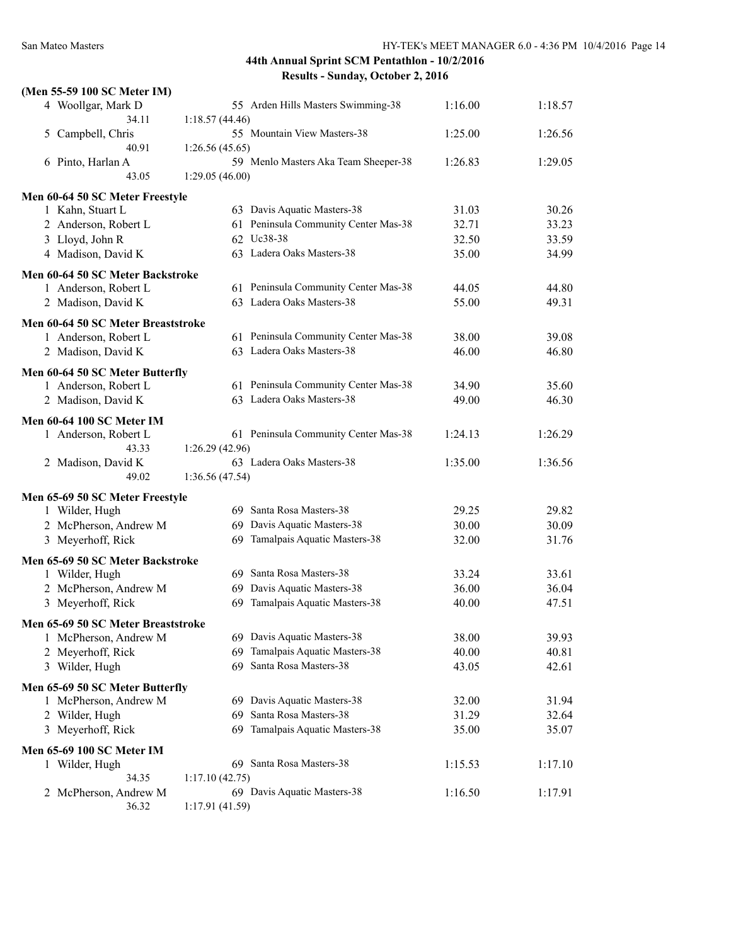| 4 Woollgar, Mark D<br>55 Arden Hills Masters Swimming-38<br>1:16.00<br>1:18.57<br>34.11<br>1:18.57(44.46)<br>55 Mountain View Masters-38<br>5 Campbell, Chris<br>1:25.00<br>1:26.56<br>40.91<br>1:26.56(45.65)<br>6 Pinto, Harlan A<br>59 Menlo Masters Aka Team Sheeper-38<br>1:26.83<br>1:29.05<br>43.05<br>1:29.05(46.00)<br>Men 60-64 50 SC Meter Freestyle<br>63 Davis Aquatic Masters-38<br>30.26<br>1 Kahn, Stuart L<br>31.03<br>61 Peninsula Community Center Mas-38<br>32.71<br>33.23<br>2 Anderson, Robert L<br>62 Uc38-38<br>3 Lloyd, John R<br>32.50<br>33.59<br>4 Madison, David K<br>63 Ladera Oaks Masters-38<br>35.00<br>34.99<br>Men 60-64 50 SC Meter Backstroke<br>61 Peninsula Community Center Mas-38<br>1 Anderson, Robert L<br>44.05<br>44.80<br>63 Ladera Oaks Masters-38<br>55.00<br>2 Madison, David K<br>49.31<br>Men 60-64 50 SC Meter Breaststroke<br>61 Peninsula Community Center Mas-38<br>38.00<br>39.08<br>1 Anderson, Robert L<br>63 Ladera Oaks Masters-38<br>46.00<br>2 Madison, David K<br>46.80<br>Men 60-64 50 SC Meter Butterfly<br>61 Peninsula Community Center Mas-38<br>35.60<br>1 Anderson, Robert L<br>34.90<br>63 Ladera Oaks Masters-38<br>2 Madison, David K<br>49.00<br>46.30<br><b>Men 60-64 100 SC Meter IM</b><br>61 Peninsula Community Center Mas-38<br>1:24.13<br>1:26.29<br>1 Anderson, Robert L<br>43.33<br>1:26.29 (42.96)<br>63 Ladera Oaks Masters-38<br>1:36.56<br>2 Madison, David K<br>1:35.00<br>49.02<br>1:36.56(47.54)<br>Men 65-69 50 SC Meter Freestyle<br>69 Santa Rosa Masters-38<br>29.25<br>29.82<br>1 Wilder, Hugh<br>69 Davis Aquatic Masters-38<br>30.00<br>30.09<br>2 McPherson, Andrew M<br>3 Meyerhoff, Rick<br>69 Tamalpais Aquatic Masters-38<br>32.00<br>31.76<br>Men 65-69 50 SC Meter Backstroke<br>69 Santa Rosa Masters-38<br>33.24<br>33.61<br>1 Wilder, Hugh<br>2 McPherson, Andrew M<br>69 Davis Aquatic Masters-38<br>36.00<br>36.04<br>69 Tamalpais Aquatic Masters-38<br>3 Meyerhoff, Rick<br>47.51<br>40.00<br>Men 65-69 50 SC Meter Breaststroke<br>69 Davis Aquatic Masters-38<br>38.00<br>39.93<br>1 McPherson, Andrew M<br>Tamalpais Aquatic Masters-38<br>40.00<br>2 Meyerhoff, Rick<br>40.81<br>69<br>69 Santa Rosa Masters-38<br>3 Wilder, Hugh<br>43.05<br>42.61<br>Men 65-69 50 SC Meter Butterfly<br>69 Davis Aquatic Masters-38<br>1 McPherson, Andrew M<br>32.00<br>31.94<br>69 Santa Rosa Masters-38<br>32.64<br>2 Wilder, Hugh<br>31.29<br>69 Tamalpais Aquatic Masters-38<br>3 Meyerhoff, Rick<br>35.07<br>35.00<br>Men 65-69 100 SC Meter IM<br>69 Santa Rosa Masters-38<br>1:17.10<br>1 Wilder, Hugh<br>1:15.53<br>34.35<br>1:17.10(42.75)<br>2 McPherson, Andrew M<br>69 Davis Aquatic Masters-38<br>1:16.50<br>1:17.91 | (Men 55-59 100 SC Meter IM) |                 |  |
|-----------------------------------------------------------------------------------------------------------------------------------------------------------------------------------------------------------------------------------------------------------------------------------------------------------------------------------------------------------------------------------------------------------------------------------------------------------------------------------------------------------------------------------------------------------------------------------------------------------------------------------------------------------------------------------------------------------------------------------------------------------------------------------------------------------------------------------------------------------------------------------------------------------------------------------------------------------------------------------------------------------------------------------------------------------------------------------------------------------------------------------------------------------------------------------------------------------------------------------------------------------------------------------------------------------------------------------------------------------------------------------------------------------------------------------------------------------------------------------------------------------------------------------------------------------------------------------------------------------------------------------------------------------------------------------------------------------------------------------------------------------------------------------------------------------------------------------------------------------------------------------------------------------------------------------------------------------------------------------------------------------------------------------------------------------------------------------------------------------------------------------------------------------------------------------------------------------------------------------------------------------------------------------------------------------------------------------------------------------------------------------------------------------------------------------------------------------------------------------------------------------------------------------------------------------------------------------------------------------------------------------------------------------------------------------------------------------------------------------------|-----------------------------|-----------------|--|
|                                                                                                                                                                                                                                                                                                                                                                                                                                                                                                                                                                                                                                                                                                                                                                                                                                                                                                                                                                                                                                                                                                                                                                                                                                                                                                                                                                                                                                                                                                                                                                                                                                                                                                                                                                                                                                                                                                                                                                                                                                                                                                                                                                                                                                                                                                                                                                                                                                                                                                                                                                                                                                                                                                                                         |                             |                 |  |
|                                                                                                                                                                                                                                                                                                                                                                                                                                                                                                                                                                                                                                                                                                                                                                                                                                                                                                                                                                                                                                                                                                                                                                                                                                                                                                                                                                                                                                                                                                                                                                                                                                                                                                                                                                                                                                                                                                                                                                                                                                                                                                                                                                                                                                                                                                                                                                                                                                                                                                                                                                                                                                                                                                                                         |                             |                 |  |
|                                                                                                                                                                                                                                                                                                                                                                                                                                                                                                                                                                                                                                                                                                                                                                                                                                                                                                                                                                                                                                                                                                                                                                                                                                                                                                                                                                                                                                                                                                                                                                                                                                                                                                                                                                                                                                                                                                                                                                                                                                                                                                                                                                                                                                                                                                                                                                                                                                                                                                                                                                                                                                                                                                                                         |                             |                 |  |
|                                                                                                                                                                                                                                                                                                                                                                                                                                                                                                                                                                                                                                                                                                                                                                                                                                                                                                                                                                                                                                                                                                                                                                                                                                                                                                                                                                                                                                                                                                                                                                                                                                                                                                                                                                                                                                                                                                                                                                                                                                                                                                                                                                                                                                                                                                                                                                                                                                                                                                                                                                                                                                                                                                                                         |                             |                 |  |
|                                                                                                                                                                                                                                                                                                                                                                                                                                                                                                                                                                                                                                                                                                                                                                                                                                                                                                                                                                                                                                                                                                                                                                                                                                                                                                                                                                                                                                                                                                                                                                                                                                                                                                                                                                                                                                                                                                                                                                                                                                                                                                                                                                                                                                                                                                                                                                                                                                                                                                                                                                                                                                                                                                                                         |                             |                 |  |
|                                                                                                                                                                                                                                                                                                                                                                                                                                                                                                                                                                                                                                                                                                                                                                                                                                                                                                                                                                                                                                                                                                                                                                                                                                                                                                                                                                                                                                                                                                                                                                                                                                                                                                                                                                                                                                                                                                                                                                                                                                                                                                                                                                                                                                                                                                                                                                                                                                                                                                                                                                                                                                                                                                                                         |                             |                 |  |
|                                                                                                                                                                                                                                                                                                                                                                                                                                                                                                                                                                                                                                                                                                                                                                                                                                                                                                                                                                                                                                                                                                                                                                                                                                                                                                                                                                                                                                                                                                                                                                                                                                                                                                                                                                                                                                                                                                                                                                                                                                                                                                                                                                                                                                                                                                                                                                                                                                                                                                                                                                                                                                                                                                                                         |                             |                 |  |
|                                                                                                                                                                                                                                                                                                                                                                                                                                                                                                                                                                                                                                                                                                                                                                                                                                                                                                                                                                                                                                                                                                                                                                                                                                                                                                                                                                                                                                                                                                                                                                                                                                                                                                                                                                                                                                                                                                                                                                                                                                                                                                                                                                                                                                                                                                                                                                                                                                                                                                                                                                                                                                                                                                                                         |                             |                 |  |
|                                                                                                                                                                                                                                                                                                                                                                                                                                                                                                                                                                                                                                                                                                                                                                                                                                                                                                                                                                                                                                                                                                                                                                                                                                                                                                                                                                                                                                                                                                                                                                                                                                                                                                                                                                                                                                                                                                                                                                                                                                                                                                                                                                                                                                                                                                                                                                                                                                                                                                                                                                                                                                                                                                                                         |                             |                 |  |
|                                                                                                                                                                                                                                                                                                                                                                                                                                                                                                                                                                                                                                                                                                                                                                                                                                                                                                                                                                                                                                                                                                                                                                                                                                                                                                                                                                                                                                                                                                                                                                                                                                                                                                                                                                                                                                                                                                                                                                                                                                                                                                                                                                                                                                                                                                                                                                                                                                                                                                                                                                                                                                                                                                                                         |                             |                 |  |
|                                                                                                                                                                                                                                                                                                                                                                                                                                                                                                                                                                                                                                                                                                                                                                                                                                                                                                                                                                                                                                                                                                                                                                                                                                                                                                                                                                                                                                                                                                                                                                                                                                                                                                                                                                                                                                                                                                                                                                                                                                                                                                                                                                                                                                                                                                                                                                                                                                                                                                                                                                                                                                                                                                                                         |                             |                 |  |
|                                                                                                                                                                                                                                                                                                                                                                                                                                                                                                                                                                                                                                                                                                                                                                                                                                                                                                                                                                                                                                                                                                                                                                                                                                                                                                                                                                                                                                                                                                                                                                                                                                                                                                                                                                                                                                                                                                                                                                                                                                                                                                                                                                                                                                                                                                                                                                                                                                                                                                                                                                                                                                                                                                                                         |                             |                 |  |
|                                                                                                                                                                                                                                                                                                                                                                                                                                                                                                                                                                                                                                                                                                                                                                                                                                                                                                                                                                                                                                                                                                                                                                                                                                                                                                                                                                                                                                                                                                                                                                                                                                                                                                                                                                                                                                                                                                                                                                                                                                                                                                                                                                                                                                                                                                                                                                                                                                                                                                                                                                                                                                                                                                                                         |                             |                 |  |
|                                                                                                                                                                                                                                                                                                                                                                                                                                                                                                                                                                                                                                                                                                                                                                                                                                                                                                                                                                                                                                                                                                                                                                                                                                                                                                                                                                                                                                                                                                                                                                                                                                                                                                                                                                                                                                                                                                                                                                                                                                                                                                                                                                                                                                                                                                                                                                                                                                                                                                                                                                                                                                                                                                                                         |                             |                 |  |
|                                                                                                                                                                                                                                                                                                                                                                                                                                                                                                                                                                                                                                                                                                                                                                                                                                                                                                                                                                                                                                                                                                                                                                                                                                                                                                                                                                                                                                                                                                                                                                                                                                                                                                                                                                                                                                                                                                                                                                                                                                                                                                                                                                                                                                                                                                                                                                                                                                                                                                                                                                                                                                                                                                                                         |                             |                 |  |
|                                                                                                                                                                                                                                                                                                                                                                                                                                                                                                                                                                                                                                                                                                                                                                                                                                                                                                                                                                                                                                                                                                                                                                                                                                                                                                                                                                                                                                                                                                                                                                                                                                                                                                                                                                                                                                                                                                                                                                                                                                                                                                                                                                                                                                                                                                                                                                                                                                                                                                                                                                                                                                                                                                                                         |                             |                 |  |
|                                                                                                                                                                                                                                                                                                                                                                                                                                                                                                                                                                                                                                                                                                                                                                                                                                                                                                                                                                                                                                                                                                                                                                                                                                                                                                                                                                                                                                                                                                                                                                                                                                                                                                                                                                                                                                                                                                                                                                                                                                                                                                                                                                                                                                                                                                                                                                                                                                                                                                                                                                                                                                                                                                                                         |                             |                 |  |
|                                                                                                                                                                                                                                                                                                                                                                                                                                                                                                                                                                                                                                                                                                                                                                                                                                                                                                                                                                                                                                                                                                                                                                                                                                                                                                                                                                                                                                                                                                                                                                                                                                                                                                                                                                                                                                                                                                                                                                                                                                                                                                                                                                                                                                                                                                                                                                                                                                                                                                                                                                                                                                                                                                                                         |                             |                 |  |
|                                                                                                                                                                                                                                                                                                                                                                                                                                                                                                                                                                                                                                                                                                                                                                                                                                                                                                                                                                                                                                                                                                                                                                                                                                                                                                                                                                                                                                                                                                                                                                                                                                                                                                                                                                                                                                                                                                                                                                                                                                                                                                                                                                                                                                                                                                                                                                                                                                                                                                                                                                                                                                                                                                                                         |                             |                 |  |
|                                                                                                                                                                                                                                                                                                                                                                                                                                                                                                                                                                                                                                                                                                                                                                                                                                                                                                                                                                                                                                                                                                                                                                                                                                                                                                                                                                                                                                                                                                                                                                                                                                                                                                                                                                                                                                                                                                                                                                                                                                                                                                                                                                                                                                                                                                                                                                                                                                                                                                                                                                                                                                                                                                                                         |                             |                 |  |
|                                                                                                                                                                                                                                                                                                                                                                                                                                                                                                                                                                                                                                                                                                                                                                                                                                                                                                                                                                                                                                                                                                                                                                                                                                                                                                                                                                                                                                                                                                                                                                                                                                                                                                                                                                                                                                                                                                                                                                                                                                                                                                                                                                                                                                                                                                                                                                                                                                                                                                                                                                                                                                                                                                                                         |                             |                 |  |
|                                                                                                                                                                                                                                                                                                                                                                                                                                                                                                                                                                                                                                                                                                                                                                                                                                                                                                                                                                                                                                                                                                                                                                                                                                                                                                                                                                                                                                                                                                                                                                                                                                                                                                                                                                                                                                                                                                                                                                                                                                                                                                                                                                                                                                                                                                                                                                                                                                                                                                                                                                                                                                                                                                                                         |                             |                 |  |
|                                                                                                                                                                                                                                                                                                                                                                                                                                                                                                                                                                                                                                                                                                                                                                                                                                                                                                                                                                                                                                                                                                                                                                                                                                                                                                                                                                                                                                                                                                                                                                                                                                                                                                                                                                                                                                                                                                                                                                                                                                                                                                                                                                                                                                                                                                                                                                                                                                                                                                                                                                                                                                                                                                                                         |                             |                 |  |
|                                                                                                                                                                                                                                                                                                                                                                                                                                                                                                                                                                                                                                                                                                                                                                                                                                                                                                                                                                                                                                                                                                                                                                                                                                                                                                                                                                                                                                                                                                                                                                                                                                                                                                                                                                                                                                                                                                                                                                                                                                                                                                                                                                                                                                                                                                                                                                                                                                                                                                                                                                                                                                                                                                                                         |                             |                 |  |
|                                                                                                                                                                                                                                                                                                                                                                                                                                                                                                                                                                                                                                                                                                                                                                                                                                                                                                                                                                                                                                                                                                                                                                                                                                                                                                                                                                                                                                                                                                                                                                                                                                                                                                                                                                                                                                                                                                                                                                                                                                                                                                                                                                                                                                                                                                                                                                                                                                                                                                                                                                                                                                                                                                                                         |                             |                 |  |
|                                                                                                                                                                                                                                                                                                                                                                                                                                                                                                                                                                                                                                                                                                                                                                                                                                                                                                                                                                                                                                                                                                                                                                                                                                                                                                                                                                                                                                                                                                                                                                                                                                                                                                                                                                                                                                                                                                                                                                                                                                                                                                                                                                                                                                                                                                                                                                                                                                                                                                                                                                                                                                                                                                                                         |                             |                 |  |
|                                                                                                                                                                                                                                                                                                                                                                                                                                                                                                                                                                                                                                                                                                                                                                                                                                                                                                                                                                                                                                                                                                                                                                                                                                                                                                                                                                                                                                                                                                                                                                                                                                                                                                                                                                                                                                                                                                                                                                                                                                                                                                                                                                                                                                                                                                                                                                                                                                                                                                                                                                                                                                                                                                                                         |                             |                 |  |
|                                                                                                                                                                                                                                                                                                                                                                                                                                                                                                                                                                                                                                                                                                                                                                                                                                                                                                                                                                                                                                                                                                                                                                                                                                                                                                                                                                                                                                                                                                                                                                                                                                                                                                                                                                                                                                                                                                                                                                                                                                                                                                                                                                                                                                                                                                                                                                                                                                                                                                                                                                                                                                                                                                                                         |                             |                 |  |
|                                                                                                                                                                                                                                                                                                                                                                                                                                                                                                                                                                                                                                                                                                                                                                                                                                                                                                                                                                                                                                                                                                                                                                                                                                                                                                                                                                                                                                                                                                                                                                                                                                                                                                                                                                                                                                                                                                                                                                                                                                                                                                                                                                                                                                                                                                                                                                                                                                                                                                                                                                                                                                                                                                                                         |                             |                 |  |
|                                                                                                                                                                                                                                                                                                                                                                                                                                                                                                                                                                                                                                                                                                                                                                                                                                                                                                                                                                                                                                                                                                                                                                                                                                                                                                                                                                                                                                                                                                                                                                                                                                                                                                                                                                                                                                                                                                                                                                                                                                                                                                                                                                                                                                                                                                                                                                                                                                                                                                                                                                                                                                                                                                                                         |                             |                 |  |
|                                                                                                                                                                                                                                                                                                                                                                                                                                                                                                                                                                                                                                                                                                                                                                                                                                                                                                                                                                                                                                                                                                                                                                                                                                                                                                                                                                                                                                                                                                                                                                                                                                                                                                                                                                                                                                                                                                                                                                                                                                                                                                                                                                                                                                                                                                                                                                                                                                                                                                                                                                                                                                                                                                                                         |                             |                 |  |
|                                                                                                                                                                                                                                                                                                                                                                                                                                                                                                                                                                                                                                                                                                                                                                                                                                                                                                                                                                                                                                                                                                                                                                                                                                                                                                                                                                                                                                                                                                                                                                                                                                                                                                                                                                                                                                                                                                                                                                                                                                                                                                                                                                                                                                                                                                                                                                                                                                                                                                                                                                                                                                                                                                                                         |                             |                 |  |
|                                                                                                                                                                                                                                                                                                                                                                                                                                                                                                                                                                                                                                                                                                                                                                                                                                                                                                                                                                                                                                                                                                                                                                                                                                                                                                                                                                                                                                                                                                                                                                                                                                                                                                                                                                                                                                                                                                                                                                                                                                                                                                                                                                                                                                                                                                                                                                                                                                                                                                                                                                                                                                                                                                                                         |                             |                 |  |
|                                                                                                                                                                                                                                                                                                                                                                                                                                                                                                                                                                                                                                                                                                                                                                                                                                                                                                                                                                                                                                                                                                                                                                                                                                                                                                                                                                                                                                                                                                                                                                                                                                                                                                                                                                                                                                                                                                                                                                                                                                                                                                                                                                                                                                                                                                                                                                                                                                                                                                                                                                                                                                                                                                                                         |                             |                 |  |
|                                                                                                                                                                                                                                                                                                                                                                                                                                                                                                                                                                                                                                                                                                                                                                                                                                                                                                                                                                                                                                                                                                                                                                                                                                                                                                                                                                                                                                                                                                                                                                                                                                                                                                                                                                                                                                                                                                                                                                                                                                                                                                                                                                                                                                                                                                                                                                                                                                                                                                                                                                                                                                                                                                                                         |                             |                 |  |
|                                                                                                                                                                                                                                                                                                                                                                                                                                                                                                                                                                                                                                                                                                                                                                                                                                                                                                                                                                                                                                                                                                                                                                                                                                                                                                                                                                                                                                                                                                                                                                                                                                                                                                                                                                                                                                                                                                                                                                                                                                                                                                                                                                                                                                                                                                                                                                                                                                                                                                                                                                                                                                                                                                                                         |                             |                 |  |
|                                                                                                                                                                                                                                                                                                                                                                                                                                                                                                                                                                                                                                                                                                                                                                                                                                                                                                                                                                                                                                                                                                                                                                                                                                                                                                                                                                                                                                                                                                                                                                                                                                                                                                                                                                                                                                                                                                                                                                                                                                                                                                                                                                                                                                                                                                                                                                                                                                                                                                                                                                                                                                                                                                                                         |                             |                 |  |
|                                                                                                                                                                                                                                                                                                                                                                                                                                                                                                                                                                                                                                                                                                                                                                                                                                                                                                                                                                                                                                                                                                                                                                                                                                                                                                                                                                                                                                                                                                                                                                                                                                                                                                                                                                                                                                                                                                                                                                                                                                                                                                                                                                                                                                                                                                                                                                                                                                                                                                                                                                                                                                                                                                                                         |                             |                 |  |
|                                                                                                                                                                                                                                                                                                                                                                                                                                                                                                                                                                                                                                                                                                                                                                                                                                                                                                                                                                                                                                                                                                                                                                                                                                                                                                                                                                                                                                                                                                                                                                                                                                                                                                                                                                                                                                                                                                                                                                                                                                                                                                                                                                                                                                                                                                                                                                                                                                                                                                                                                                                                                                                                                                                                         |                             |                 |  |
|                                                                                                                                                                                                                                                                                                                                                                                                                                                                                                                                                                                                                                                                                                                                                                                                                                                                                                                                                                                                                                                                                                                                                                                                                                                                                                                                                                                                                                                                                                                                                                                                                                                                                                                                                                                                                                                                                                                                                                                                                                                                                                                                                                                                                                                                                                                                                                                                                                                                                                                                                                                                                                                                                                                                         |                             |                 |  |
|                                                                                                                                                                                                                                                                                                                                                                                                                                                                                                                                                                                                                                                                                                                                                                                                                                                                                                                                                                                                                                                                                                                                                                                                                                                                                                                                                                                                                                                                                                                                                                                                                                                                                                                                                                                                                                                                                                                                                                                                                                                                                                                                                                                                                                                                                                                                                                                                                                                                                                                                                                                                                                                                                                                                         |                             |                 |  |
|                                                                                                                                                                                                                                                                                                                                                                                                                                                                                                                                                                                                                                                                                                                                                                                                                                                                                                                                                                                                                                                                                                                                                                                                                                                                                                                                                                                                                                                                                                                                                                                                                                                                                                                                                                                                                                                                                                                                                                                                                                                                                                                                                                                                                                                                                                                                                                                                                                                                                                                                                                                                                                                                                                                                         |                             |                 |  |
|                                                                                                                                                                                                                                                                                                                                                                                                                                                                                                                                                                                                                                                                                                                                                                                                                                                                                                                                                                                                                                                                                                                                                                                                                                                                                                                                                                                                                                                                                                                                                                                                                                                                                                                                                                                                                                                                                                                                                                                                                                                                                                                                                                                                                                                                                                                                                                                                                                                                                                                                                                                                                                                                                                                                         |                             |                 |  |
|                                                                                                                                                                                                                                                                                                                                                                                                                                                                                                                                                                                                                                                                                                                                                                                                                                                                                                                                                                                                                                                                                                                                                                                                                                                                                                                                                                                                                                                                                                                                                                                                                                                                                                                                                                                                                                                                                                                                                                                                                                                                                                                                                                                                                                                                                                                                                                                                                                                                                                                                                                                                                                                                                                                                         |                             |                 |  |
|                                                                                                                                                                                                                                                                                                                                                                                                                                                                                                                                                                                                                                                                                                                                                                                                                                                                                                                                                                                                                                                                                                                                                                                                                                                                                                                                                                                                                                                                                                                                                                                                                                                                                                                                                                                                                                                                                                                                                                                                                                                                                                                                                                                                                                                                                                                                                                                                                                                                                                                                                                                                                                                                                                                                         |                             |                 |  |
|                                                                                                                                                                                                                                                                                                                                                                                                                                                                                                                                                                                                                                                                                                                                                                                                                                                                                                                                                                                                                                                                                                                                                                                                                                                                                                                                                                                                                                                                                                                                                                                                                                                                                                                                                                                                                                                                                                                                                                                                                                                                                                                                                                                                                                                                                                                                                                                                                                                                                                                                                                                                                                                                                                                                         |                             |                 |  |
|                                                                                                                                                                                                                                                                                                                                                                                                                                                                                                                                                                                                                                                                                                                                                                                                                                                                                                                                                                                                                                                                                                                                                                                                                                                                                                                                                                                                                                                                                                                                                                                                                                                                                                                                                                                                                                                                                                                                                                                                                                                                                                                                                                                                                                                                                                                                                                                                                                                                                                                                                                                                                                                                                                                                         |                             |                 |  |
|                                                                                                                                                                                                                                                                                                                                                                                                                                                                                                                                                                                                                                                                                                                                                                                                                                                                                                                                                                                                                                                                                                                                                                                                                                                                                                                                                                                                                                                                                                                                                                                                                                                                                                                                                                                                                                                                                                                                                                                                                                                                                                                                                                                                                                                                                                                                                                                                                                                                                                                                                                                                                                                                                                                                         |                             |                 |  |
|                                                                                                                                                                                                                                                                                                                                                                                                                                                                                                                                                                                                                                                                                                                                                                                                                                                                                                                                                                                                                                                                                                                                                                                                                                                                                                                                                                                                                                                                                                                                                                                                                                                                                                                                                                                                                                                                                                                                                                                                                                                                                                                                                                                                                                                                                                                                                                                                                                                                                                                                                                                                                                                                                                                                         | 36.32                       | 1:17.91 (41.59) |  |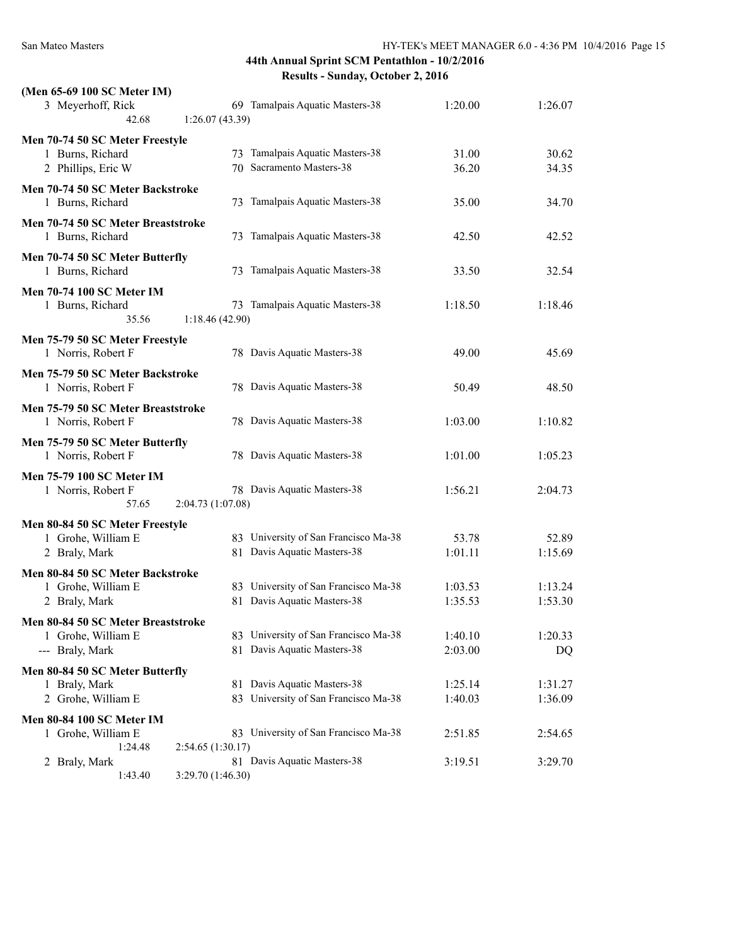| (Men 65-69 100 SC Meter IM)                            |                   |                                      |         |         |
|--------------------------------------------------------|-------------------|--------------------------------------|---------|---------|
| 3 Meyerhoff, Rick<br>42.68                             | 1:26.07(43.39)    | 69 Tamalpais Aquatic Masters-38      | 1:20.00 | 1:26.07 |
| Men 70-74 50 SC Meter Freestyle                        |                   |                                      |         |         |
| 1 Burns, Richard                                       |                   | 73 Tamalpais Aquatic Masters-38      | 31.00   | 30.62   |
| 2 Phillips, Eric W                                     |                   | 70 Sacramento Masters-38             | 36.20   | 34.35   |
| Men 70-74 50 SC Meter Backstroke<br>1 Burns, Richard   |                   | 73 Tamalpais Aquatic Masters-38      | 35.00   | 34.70   |
| Men 70-74 50 SC Meter Breaststroke<br>1 Burns, Richard |                   | 73 Tamalpais Aquatic Masters-38      | 42.50   | 42.52   |
| Men 70-74 50 SC Meter Butterfly<br>1 Burns, Richard    |                   | 73 Tamalpais Aquatic Masters-38      | 33.50   | 32.54   |
| <b>Men 70-74 100 SC Meter IM</b>                       |                   |                                      |         |         |
| 1 Burns, Richard<br>35.56                              | 1:18.46(42.90)    | 73 Tamalpais Aquatic Masters-38      | 1:18.50 | 1:18.46 |
| Men 75-79 50 SC Meter Freestyle                        |                   |                                      |         |         |
| 1 Norris, Robert F                                     |                   | 78 Davis Aquatic Masters-38          | 49.00   | 45.69   |
| Men 75-79 50 SC Meter Backstroke<br>1 Norris, Robert F |                   | 78 Davis Aquatic Masters-38          | 50.49   | 48.50   |
| Men 75-79 50 SC Meter Breaststroke                     |                   |                                      |         |         |
| 1 Norris, Robert F                                     |                   | 78 Davis Aquatic Masters-38          | 1:03.00 | 1:10.82 |
| Men 75-79 50 SC Meter Butterfly<br>1 Norris, Robert F  |                   | 78 Davis Aquatic Masters-38          | 1:01.00 | 1:05.23 |
| <b>Men 75-79 100 SC Meter IM</b>                       |                   |                                      |         |         |
| 1 Norris, Robert F<br>57.65                            | 2:04.73 (1:07.08) | 78 Davis Aquatic Masters-38          | 1:56.21 | 2:04.73 |
| Men 80-84 50 SC Meter Freestyle                        |                   |                                      |         |         |
| 1 Grohe, William E                                     |                   | 83 University of San Francisco Ma-38 | 53.78   | 52.89   |
| 2 Braly, Mark                                          |                   | 81 Davis Aquatic Masters-38          | 1:01.11 | 1:15.69 |
| Men 80-84 50 SC Meter Backstroke                       |                   |                                      |         |         |
| 1 Grohe, William E                                     |                   | 83 University of San Francisco Ma-38 | 1:03.53 | 1:13.24 |
| 2 Braly, Mark                                          |                   | 81 Davis Aquatic Masters-38          | 1:35.53 | 1:53.30 |
| Men 80-84 50 SC Meter Breaststroke                     |                   |                                      |         |         |
| 1 Grohe, William E                                     |                   | 83 University of San Francisco Ma-38 | 1:40.10 | 1:20.33 |
| --- Braly, Mark                                        |                   | 81 Davis Aquatic Masters-38          | 2:03.00 | DQ      |
| Men 80-84 50 SC Meter Butterfly                        |                   |                                      |         |         |
| 1 Braly, Mark                                          |                   | 81 Davis Aquatic Masters-38          | 1:25.14 | 1:31.27 |
| 2 Grohe, William E                                     |                   | 83 University of San Francisco Ma-38 | 1:40.03 | 1:36.09 |
| <b>Men 80-84 100 SC Meter IM</b>                       |                   |                                      |         |         |
| 1 Grohe, William E                                     |                   | 83 University of San Francisco Ma-38 | 2:51.85 | 2:54.65 |
| 1:24.48                                                | 2:54.65(1:30.17)  |                                      |         |         |
| 2 Braly, Mark                                          |                   | 81 Davis Aquatic Masters-38          | 3:19.51 | 3:29.70 |
| 1:43.40                                                | 3:29.70 (1:46.30) |                                      |         |         |